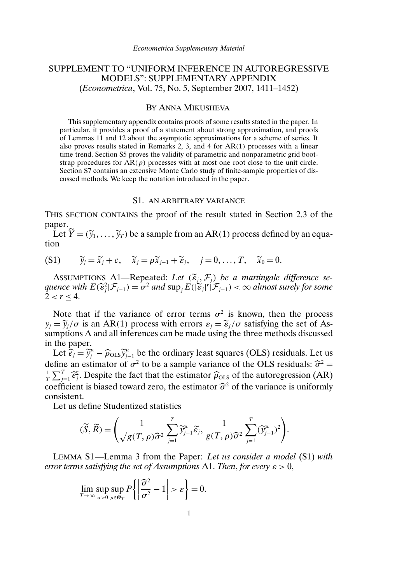# SUPPLEMENT TO "UNIFORM INFERENCE IN AUTOREGRESSIVE MODELS": SUPPLEMENTARY APPENDIX (*Econometrica*, Vol. 75, No. 5, September 2007, 1411–1452)

## BY ANNA MIKUSHEVA

This supplementary appendix contains proofs of some results stated in the paper. In particular, it provides a proof of a statement about strong approximation, and proofs of Lemmas 11 and 12 about the asymptotic approximations for a scheme of series. It also proves results stated in Remarks 2, 3, and 4 for AR(1) processes with a linear time trend. Section S5 proves the validity of parametric and nonparametric grid bootstrap procedures for  $AR(p)$  processes with at most one root close to the unit circle. Section S7 contains an extensive Monte Carlo study of finite-sample properties of discussed methods. We keep the notation introduced in the paper.

#### S1. AN ARBITRARY VARIANCE

THIS SECTION CONTAINS the proof of the result stated in Section 2.3 of the paper.

Let  $\tilde{Y} = (\tilde{y}_1, \dots, \tilde{y}_T)$  be a sample from an AR(1) process defined by an equation

$$
(S1) \qquad \widetilde{y}_j = \widetilde{x}_j + c, \quad \widetilde{x}_j = \rho \widetilde{x}_{j-1} + \widetilde{\epsilon}_j, \quad j = 0, \ldots, T, \quad \widetilde{x}_0 = 0.
$$

ASSUMPTIONS A1-Repeated: Let  $(\widetilde{\varepsilon}_i, \mathcal{F}_i)$  be a martingale difference se- $\alpha$  *quence with*  $E(\widetilde{\epsilon}_j^2 | \mathcal{F}_{j-1}) = \sigma^2$  and  $\sup_j E(|\widetilde{\epsilon}_j|^r | \mathcal{F}_{j-1}) < \infty$  almost surely for some<br> $2 < r < 4$  $2 < r < 4$ .

Note that if the variance of error terms  $\sigma^2$  is known, then the process  $y_j = \tilde{y}_j/\sigma$  is an AR(1) process with errors  $\varepsilon_j = \tilde{\varepsilon}_j/\sigma$  satisfying the set of Assumptions A and all inferences can be made using the three methods discussed in the paper.

Let  $\hat{e}_j = \hat{y}_j^{\mu} - \hat{\rho}_{OLS} \hat{y}_{j-1}^{\mu}$  be the ordinary least squares (OLS) residuals. Let us define an estimator of  $\sigma^2$  to be a sample variance of the OLS residuals:  $\hat{\sigma}^2 =$ <br> $\Gamma \sum_{i=1}^{T} \hat{\sigma}^2$ . Despite the fact that the estimator  $\hat{\sigma}$ , so f the autorescession (AB)  $\frac{1}{T} \sum_{j=1}^{T} \hat{e}_{j}^{2}$ . Despite the fact that the estimator  $\hat{\rho}_{OLS}$  of the autoregression (AR)  $j=1$ <sup>c</sup><br>ficion coefficient is biased toward zero, the estimator  $\hat{\sigma}^2$  of the variance is uniformly consistent consistent.

Let us define Studentized statistics

$$
(\widetilde{S}, \widetilde{R}) = \left(\frac{1}{\sqrt{g(T, \rho)\widehat{\sigma}^2}} \sum_{j=1}^T \widetilde{y}_{j-1}^{\mu} \widetilde{\epsilon}_j, \frac{1}{g(T, \rho)\widehat{\sigma}^2} \sum_{j=1}^T (\widetilde{y}_{j-1}^{\mu})^2\right).
$$

LEMMA S1—Lemma 3 from the Paper: *Let us consider a model* (S1) *with error terms satisfying the set of Assumptions* A1. *Then, for every*  $\varepsilon > 0$ ,

$$
\lim_{T \to \infty} \sup_{\sigma > 0} \sup_{\rho \in \Theta_T} P\left\{ \left| \frac{\widehat{\sigma}^2}{\sigma^2} - 1 \right| > \varepsilon \right\} = 0.
$$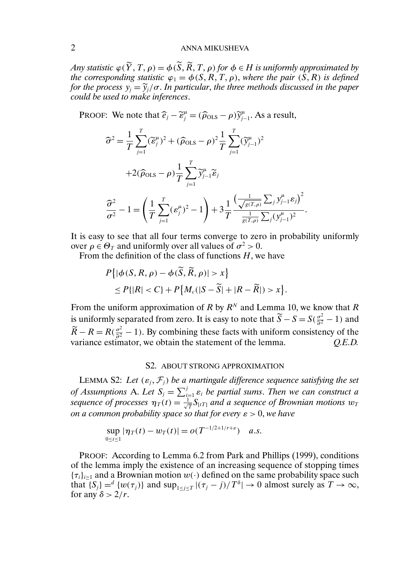## 2 ANNA MIKUSHEVA

*Any statistic*  $\varphi(\widetilde{Y},T,\rho) = \varphi(\widetilde{S},\widetilde{R},T,\rho)$  *for*  $\varphi \in H$  *is uniformly approximated by the corresponding statistic*  $\varphi_1 = \varphi(S, R, T, \rho)$ , *where the pair*  $(\hat{S}, R)$  *is defined for the process*  $y_j = \tilde{y}_j / \sigma$ . *In particular, the three methods discussed in the paper could be used to make inferences*.

PROOF: We note that  $\hat{e}_j - \tilde{\epsilon}_j^{\mu} = (\hat{\rho}_{OLS} - \rho) \tilde{y}_{j-1}^{\mu}$ . As a result,

$$
\widehat{\sigma}^2 = \frac{1}{T} \sum_{j=1}^T (\widetilde{\varepsilon}_j^{\mu})^2 + (\widehat{\rho}_{OLS} - \rho)^2 \frac{1}{T} \sum_{j=1}^T (\widetilde{y}_{j-1}^{\mu})^2
$$

$$
+ 2(\widehat{\rho}_{OLS} - \rho) \frac{1}{T} \sum_{j=1}^T \widetilde{y}_{j-1}^{\mu} \widetilde{\varepsilon}_j
$$

$$
\frac{\widehat{\sigma}^2}{\sigma^2} - 1 = \left(\frac{1}{T} \sum_{j=1}^T (\varepsilon_j^{\mu})^2 - 1\right) + 3 \frac{1}{T} \frac{\left(\frac{1}{\sqrt{g(T,\rho)}} \sum_j y_{j-1}^{\mu} \varepsilon_j\right)^2}{\frac{1}{g(T,\rho)} \sum_j (y_{j-1}^{\mu})^2}.
$$

It is easy to see that all four terms converge to zero in probability uniformly over  $\rho \in \Theta_T$  and uniformly over all values of  $\sigma^2 > 0$ .

From the definition of the class of functions  $H$ , we have  $\sim$   $\sim$ 

$$
P\{|\phi(S, R, \rho) - \phi(\overline{S}, \overline{R}, \rho)| > x\}
$$
  
\$\leq P\{|R| < C\} + P\{M\_c(|S - \widetilde{S}| + |R - \widetilde{R}|) > x\}\$.

From the uniform approximation of R by  $R^N$  and Lemma 10, we know that R is uniformly separated from zero. It is easy to note that  $\widetilde{S} - S = S(\frac{\sigma^2}{\widehat{\sigma}^2} - 1)$  and  $\widetilde{R} - R = R(\frac{\sigma^2}{\widehat{\sigma}^2} - 1)$ . By combining these facts with uniform consistency of the variance estimator, we obtain the statement of the lemma. *Q.E.D.* 

#### S2. ABOUT STRONG APPROXIMATION

LEMMA S2: Let  $(\varepsilon_i, \mathcal{F}_i)$  be a martingale difference sequence satisfying the set *of Assumptions* A. Let  $S_i = \sum_{i=1}^j \varepsilon_i$  be partial sums. Then we can construct a sequence of processes  $\eta_T(t) = \frac{1}{\sqrt{T}} S_{[tT]}$  and a sequence of Brownian motions  $w_T$ *on a common probability space so that for every*  $\varepsilon > 0$ , *we have* 

$$
\sup_{0 \le t \le 1} |\eta_T(t) - w_T(t)| = o(T^{-1/2 + 1/r + \varepsilon}) \quad a.s.
$$

PROOF: According to Lemma 6.2 from Park and Phillips (1999), conditions of the lemma imply the existence of an increasing sequence of stopping times  ${\tau_i}_{i>1}$  and a Brownian motion  $w(\cdot)$  defined on the same probability space such that  $\{S_i\} = \{w(\tau_i)\}\$  and  $\sup_{1 \le i \le T} |(\tau_j - j)/T^{\delta}| \to 0$  almost surely as  $T \to \infty$ , for any  $\delta > 2/r$ .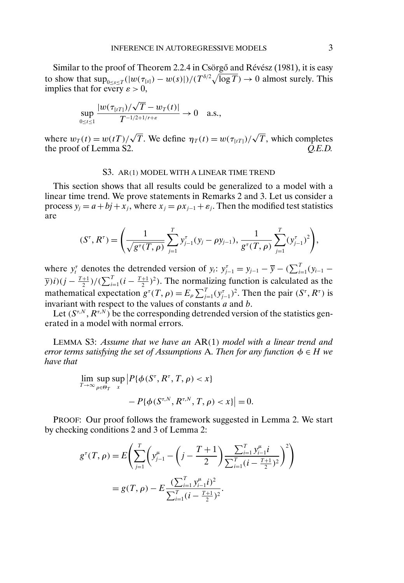Similar to the proof of Theorem 2.2.4 in Csörgő and Révész (1981), it is easy to show that  $\sup_{0 \le s \le T} (|w(\tau_{[s]}) - w(s)|)/(T^{\delta/2}\sqrt{\log T}) \to 0$  almost surely. This implies that for every  $\varepsilon > 0$ ,

$$
\sup_{0 \leq t \leq 1} \frac{|w(\tau_{[tT]})/\sqrt{T} - w_T(t)|}{T^{-1/2 + 1/r + \varepsilon}} \to 0 \quad \text{a.s.},
$$

where  $w_T(t) = w(t) / \sqrt{T}$ . We define  $\eta_T(t) = w(\tau_{t(T)}) / \sqrt{T}$ , which completes the proof of Lemma S2. *Q.E.D.*

#### S3. AR(1) MODEL WITH A LINEAR TIME TREND

This section shows that all results could be generalized to a model with a linear time trend. We prove statements in Remarks 2 and 3. Let us consider a process  $y_i = a + bj + x_j$ , where  $x_j = \rho x_{j-1} + \varepsilon_j$ . Then the modified test statistics are

$$
(S^{\tau}, R^{\tau}) = \left(\frac{1}{\sqrt{g^{\tau}(T, \rho)}} \sum_{j=1}^{T} y_{j-1}^{\tau}(y_j - \rho y_{j-1}), \frac{1}{g^{\tau}(T, \rho)} \sum_{j=1}^{T} (y_{j-1}^{\tau})^2\right),
$$

where  $y_t^{\tau}$  denotes the detrended version of  $y_t$ :  $y_{j-1}^{\tau} = y_{j-1} - \overline{y} - (\sum_{i=1}^{T} (y_{i-1} \overline{y}(i)(j - \frac{T+1}{2})/(\sum_{i=1}^{T} (i - \frac{T+1}{2})^2)$ . The normalizing function is calculated as the mathematical expectation  $g^{\tau}(T,\rho) = E_{\rho} \sum_{j=1}^{T} (y_{j-1}^{\tau})^2$ . Then the pair  $(S^{\tau}, R^{\tau})$  is invariant with respect to the values of constants  $a$  and  $b$ .

Let  $(S^{\tau,N}, R^{\tau,N})$  be the corresponding detrended version of the statistics generated in a model with normal errors.

LEMMA S3: *Assume that we have an* AR(1) *model with a linear trend and error terms satisfying the set of Assumptions* A. *Then for any function*  $\phi \in H$  *we have that*

$$
\lim_{T \to \infty} \sup_{\rho \in \Theta_T} \sup_x \left| P\{\phi(S^\tau, R^\tau, T, \rho) < x\} \right|
$$
\n
$$
- P\{\phi(S^{\tau, N}, R^{\tau, N}, T, \rho) < x\} \right| = 0.
$$

PROOF: Our proof follows the framework suggested in Lemma 2. We start by checking conditions 2 and 3 of Lemma 2:

$$
g^{\tau}(T,\rho) = E\left(\sum_{j=1}^{T} \left(y_{j-1}^{\mu} - \left(j - \frac{T+1}{2}\right) \frac{\sum_{i=1}^{T} y_{i-1}^{\mu} i}{\sum_{i=1}^{T} (i - \frac{T+1}{2})^2}\right)^2\right)
$$

$$
= g(T,\rho) - E\frac{(\sum_{i=1}^{T} y_{i-1}^{\mu} i)^2}{\sum_{i=1}^{T} (i - \frac{T+1}{2})^2}.
$$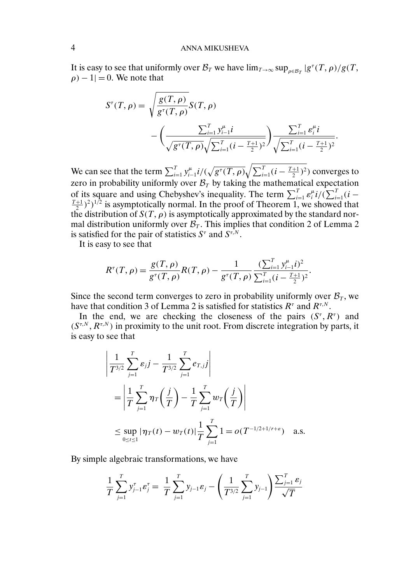It is easy to see that uniformly over  $\mathcal{B}_T$  we have  $\lim_{T\to\infty} \sup_{\rho \in \mathcal{B}_T} |g^\tau(T,\rho)/g(T,\rho)|$  $\rho$ ) – 1 $=$  0. We note that

$$
S^{\tau}(T,\rho) = \sqrt{\frac{g(T,\rho)}{g^{\tau}(T,\rho)}} S(T,\rho)
$$

$$
-\left(\frac{\sum_{i=1}^{T} y_{i-1}^{\mu} i}{\sqrt{g^{\tau}(T,\rho)}\sqrt{\sum_{i=1}^{T} (i - \frac{T+1}{2})^2}}\right) \frac{\sum_{i=1}^{T} \varepsilon_i^{\mu} i}{\sqrt{\sum_{i=1}^{T} (i - \frac{T+1}{2})^2}}.
$$

We can see that the term  $\sum_{i=1}^T y_{i-1}^{\mu} i/(\sqrt{g^{\tau}(T,\rho)}\sqrt{\sum_{i=1}^T (i-\frac{T+1}{2})^2})$  converges to zero in probability uniformly over  $B_T$  by taking the mathematical expectation of its square and using Chebyshev's inequality. The term  $\sum_{i=1}^{T} \varepsilon_i^{\mu} i/(\sum_{i=1}^{T} (i - \frac{T+1}{2})^2)^{1/2}$  is asymptotically normal. In the proof of Theorem 1, we showed that the distribution of  $S(T, \rho)$  is asymptotically approximated by the standard normal distribution uniformly over  $\mathcal{B}_T$ . This implies that condition 2 of Lemma 2 is satisfied for the pair of statistics  $S^{\tau}$  and  $S^{\tau,N}$ .

It is easy to see that

$$
R^{\tau}(T,\rho) = \frac{g(T,\rho)}{g^{\tau}(T,\rho)}R(T,\rho) - \frac{1}{g^{\tau}(T,\rho)}\frac{(\sum_{i=1}^{T}y_{i-1}^{\mu}i)^2}{\sum_{i=1}^{T}(i-\frac{T+1}{2})^2}.
$$

Since the second term converges to zero in probability uniformly over  $\mathcal{B}_T$ , we have that condition 3 of Lemma 2 is satisfied for statistics  $R^{\tau}$  and  $R^{\tau,N}$ .

In the end, we are checking the closeness of the pairs  $(S^{\tau}, R^{\tau})$  and  $(S^{\tau,N}, R^{\tau,N})$  in proximity to the unit root. From discrete integration by parts, it is easy to see that

$$
\left| \frac{1}{T^{3/2}} \sum_{j=1}^{T} \varepsilon_j j - \frac{1}{T^{3/2}} \sum_{j=1}^{T} e_{T,j} j \right|
$$
  
= 
$$
\left| \frac{1}{T} \sum_{j=1}^{T} \eta_T \left( \frac{j}{T} \right) - \frac{1}{T} \sum_{j=1}^{T} w_T \left( \frac{j}{T} \right) \right|
$$
  

$$
\leq \sup_{0 \leq t \leq 1} |\eta_T(t) - w_T(t)| \frac{1}{T} \sum_{j=1}^{T} 1 = o(T^{-1/2 + 1/r + \varepsilon}) \quad \text{a.s.}
$$

By simple algebraic transformations, we have

$$
\frac{1}{T}\sum_{j=1}^{T} y_{j-1}^{\tau} \varepsilon_j^{\tau} = \frac{1}{T}\sum_{j=1}^{T} y_{j-1} \varepsilon_j - \left(\frac{1}{T^{3/2}}\sum_{j=1}^{T} y_{j-1}\right) \frac{\sum_{j=1}^{T} \varepsilon_j}{\sqrt{T}}
$$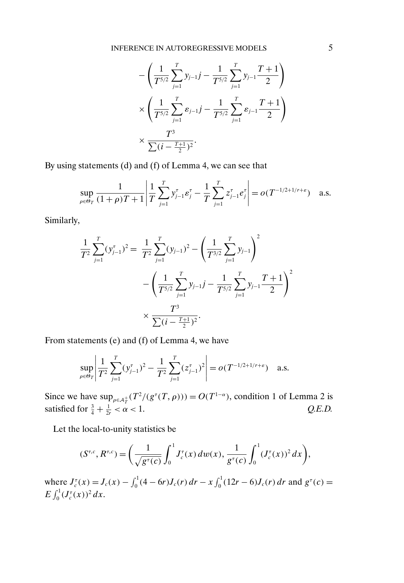$$
-\left(\frac{1}{T^{5/2}}\sum_{j=1}^T y_{j-1}j - \frac{1}{T^{5/2}}\sum_{j=1}^T y_{j-1}\frac{T+1}{2}\right) \times \left(\frac{1}{T^{5/2}}\sum_{j=1}^T \varepsilon_{j-1}j - \frac{1}{T^{5/2}}\sum_{j=1}^T \varepsilon_{j-1}\frac{T+1}{2}\right) \times \frac{T^3}{\sum (i - \frac{T+1}{2})^2}.
$$

By using statements (d) and (f) of Lemma 4, we can see that

$$
\sup_{\rho \in \Theta_T} \frac{1}{(1+\rho)T+1} \left| \frac{1}{T} \sum_{j=1}^T y_{j-1}^{\tau} \varepsilon_j^{\tau} - \frac{1}{T} \sum_{j=1}^T z_{j-1}^{\tau} e_j^{\tau} \right| = o(T^{-1/2+1/r+\varepsilon}) \quad \text{a.s.}
$$

Similarly,

$$
\frac{1}{T^2} \sum_{j=1}^T (y_{j-1}^{\tau})^2 = \frac{1}{T^2} \sum_{j=1}^T (y_{j-1})^2 - \left(\frac{1}{T^{3/2}} \sum_{j=1}^T y_{j-1}\right)^2 - \left(\frac{1}{T^{5/2}} \sum_{j=1}^T y_{j-1}j - \frac{1}{T^{5/2}} \sum_{j=1}^T y_{j-1} \frac{T+1}{2}\right)^2 \times \frac{T^3}{\sum (i - \frac{T+1}{2})^2}.
$$

From statements (e) and (f) of Lemma 4, we have

$$
\sup_{\rho \in \Theta_T} \left| \frac{1}{T^2} \sum_{j=1}^T (\mathbf{y}_{j-1}^{\tau})^2 - \frac{1}{T^2} \sum_{j=1}^T (z_{j-1}^{\tau})^2 \right| = o(T^{-1/2+1/r+\varepsilon}) \quad \text{a.s.}
$$

Since we have  $\sup_{\rho \in A_T^+}(T^2/(g^{\tau}(T,\rho))) = O(T^{1-\alpha})$ , condition 1 of Lemma 2 is satisfied for  $\frac{3}{4} + \frac{1}{2r} < \alpha < 1$ . Q.E.D.

Let the local-to-unity statistics be

$$
(S^{\tau,c}, R^{\tau,c}) = \left(\frac{1}{\sqrt{g^{\tau}(c)}} \int_0^1 J_c^{\tau}(x) \, dw(x), \frac{1}{g^{\tau}(c)} \int_0^1 (J_c^{\tau}(x))^2 \, dx\right),
$$

where  $J_c^{\tau}(x) = J_c(x) - \int_0^1 (4 - 6r) J_c(r) dr - x \int_0^1 (12r - 6) J_c(r) dr$  and  $g^{\tau}(c) =$  $E\int_0^1 (J_c^{\tau}(x))^2 dx$ .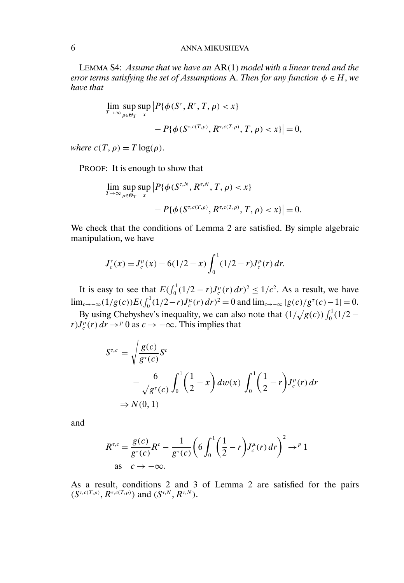## 6 ANNA MIKUSHEVA

LEMMA S4: *Assume that we have an* AR(1) *model with a linear trend and the error terms satisfying the set of Assumptions* A. *Then for any function*  $\phi \in H$ *, we have that*

$$
\lim_{T \to \infty} \sup_{\rho \in \Theta_T} \sup_x |P\{\phi(S^\tau, R^\tau, T, \rho) < x\} - P\{\phi(S^{\tau, c(T, \rho)}, R^{\tau, c(T, \rho)}, T, \rho) < x\}| = 0,
$$

*where*  $c(T, \rho) = T \log(\rho)$ .

PROOF: It is enough to show that

$$
\lim_{T \to \infty} \sup_{\rho \in \Theta_T} \sup_x \left| P\{\phi(S^{\tau,N}, R^{\tau,N}, T, \rho) < x\} - P\{\phi(S^{\tau, c(T, \rho)}, R^{\tau, c(T, \rho)}, T, \rho) < x\} \right| = 0.
$$

We check that the conditions of Lemma 2 are satisfied. By simple algebraic manipulation, we have

$$
J_c^{\tau}(x) = J_c^{\mu}(x) - 6(1/2 - x) \int_0^1 (1/2 - r) J_c^{\mu}(r) dr.
$$

It is easy to see that  $E\left(\int_0^1 (1/2 - r) J_c^{\mu}(r) dr\right)^2 \leq 1/c^2$ . As a result, we have lim<sub>c→−∞</sub>(1/g(c))E( $\int_0^1 (1/2 - r) J_c^{\mu}(r) dr$ )<sup>2</sup> = 0 and lim<sub>c→−∞</sub> |g(c)/g<sup> $\tau$ </sup>(c)−1| = 0.

By using Chebyshev's inequality, we can also note that  $(1/\sqrt{g(c)}) \int_0^1 (1/2$  $rJ_c^{\mu}(r) dr \rightarrow^p 0$  as  $c \rightarrow -\infty$ . This implies that

$$
S^{\tau,c} = \sqrt{\frac{g(c)}{g^{\tau}(c)}} S^c
$$
  

$$
- \frac{6}{\sqrt{g^{\tau}(c)}} \int_0^1 \left(\frac{1}{2} - x\right) dw(x) \int_0^1 \left(\frac{1}{2} - r\right) J_c^{\mu}(r) dr
$$
  

$$
\Rightarrow N(0,1)
$$

and

$$
R^{\tau,c} = \frac{g(c)}{g^{\tau}(c)} R^c - \frac{1}{g^{\tau}(c)} \left( 6 \int_0^1 \left( \frac{1}{2} - r \right) J_c^{\mu}(r) \, dr \right)^2 \to^p 1
$$
  
as  $c \to -\infty$ .

As a result, conditions 2 and 3 of Lemma 2 are satisfied for the pairs  $(S^{\tau,c(T,\rho)}, R^{\tau,c(T,\rho)})$  and  $(S^{\tau,N}, R^{\tau,N})$ .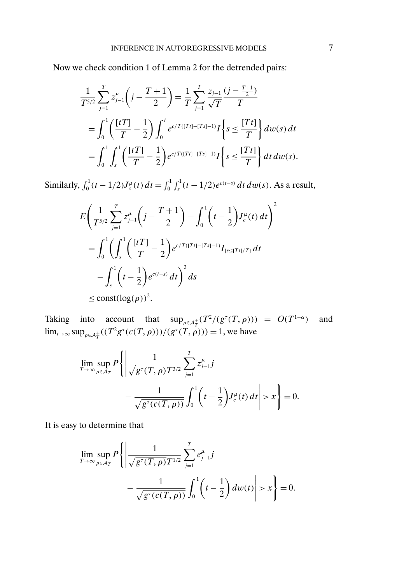Now we check condition 1 of Lemma 2 for the detrended pairs:

$$
\frac{1}{T^{5/2}} \sum_{j=1}^{T} z_{j-1}^{\mu} \left( j - \frac{T+1}{2} \right) = \frac{1}{T} \sum_{j=1}^{T} \frac{z_{j-1}}{\sqrt{T}} \frac{(j - \frac{T+1}{2})}{T}
$$
\n
$$
= \int_{0}^{1} \left( \frac{[tT]}{T} - \frac{1}{2} \right) \int_{0}^{t} e^{c/T([Tt]-[Ts]-1)} I \left\{ s \le \frac{[Tt]}{T} \right\} dw(s) dt
$$
\n
$$
= \int_{0}^{1} \int_{s}^{1} \left( \frac{[tT]}{T} - \frac{1}{2} \right) e^{c/T([Tt]-[Ts]-1)} I \left\{ s \le \frac{[Tt]}{T} \right\} dt dw(s).
$$

Similarly,  $\int_0^1 (t - 1/2) J_c^{\mu}(t) dt = \int_0^1 \int_s^1 (t - 1/2) e^{c(t - s)} dt dw(s)$ . As a result,

$$
E\left(\frac{1}{T^{5/2}}\sum_{j=1}^{T} z_{j-1}^{\mu}\left(j-\frac{T+1}{2}\right) - \int_{0}^{1} \left(t-\frac{1}{2}\right)J_{c}^{\mu}(t) dt\right)^{2}
$$
  
= 
$$
\int_{0}^{1} \left(\int_{s}^{1} \left(\frac{[tT]}{T} - \frac{1}{2}\right) e^{c/T([Tt]-[Ts]-1)} I_{\{s \leq [Tt]/T\}} dt - \int_{s}^{1} \left(t-\frac{1}{2}\right) e^{c(t-s)} dt\right)^{2} ds
$$
  
\$\leq\$ const( $\log(\rho)$ )<sup>2</sup>

Taking into account that  $\sup_{\rho \in A_T^+} (T^2/(g^\tau(T,\rho))) = O(T^{1-\alpha})$  and  $\lim_{t \to \infty} \sup_{\rho \in A_T^+} ((T^2 g^{\tau}(c(T, \rho)))/(g^{\tau}(T, \rho))) = 1$ , we have

$$
\lim_{T \to \infty} \sup_{\rho \in A_T} P \left\{ \left| \frac{1}{\sqrt{g^{\tau}(T, \rho)} T^{3/2}} \sum_{j=1}^T z_{j-1}^{\mu} j - \frac{1}{\sqrt{g^{\tau}(c(T, \rho))}} \int_0^1 \left( t - \frac{1}{2} \right) J_c^{\mu}(t) dt \right| > x \right\} = 0.
$$

It is easy to determine that

$$
\lim_{T \to \infty} \sup_{\rho \in \mathcal{A}_T} P \left\{ \left| \frac{1}{\sqrt{g^{\tau}(T, \rho)} T^{1/2}} \sum_{j=1}^T e_{j-1}^{\mu} j - \frac{1}{\sqrt{g^{\tau}(c(T, \rho))}} \int_0^1 \left( t - \frac{1}{2} \right) dw(t) \right| > x \right\} = 0.
$$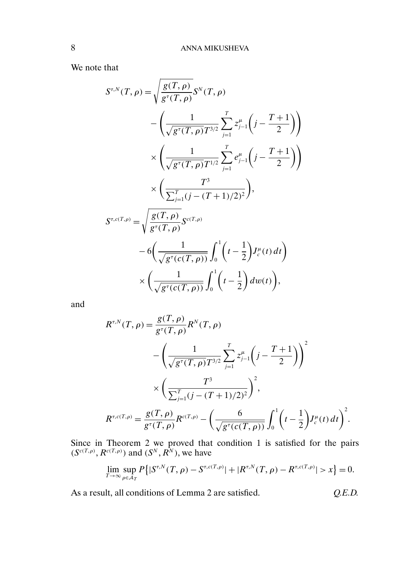We note that

$$
S^{\tau,N}(T,\rho) = \sqrt{\frac{g(T,\rho)}{g^{\tau}(T,\rho)}} S^{N}(T,\rho)
$$
  
 
$$
- \left( \frac{1}{\sqrt{g^{\tau}(T,\rho)}} \sum_{j=1}^{T} z_{j-1}^{\mu} \left( j - \frac{T+1}{2} \right) \right)
$$
  
 
$$
\times \left( \frac{1}{\sqrt{g^{\tau}(T,\rho)}} \sum_{j=1}^{T} e_{j-1}^{\mu} \left( j - \frac{T+1}{2} \right) \right)
$$
  
 
$$
\times \left( \frac{T^{3}}{\sum_{j=1}^{T} (j - (T+1)/2)^{2}} \right),
$$
  
\n
$$
S^{\tau,c(T,\rho)} = \sqrt{\frac{g(T,\rho)}{g^{\tau}(T,\rho)}} S^{c(T,\rho)}
$$
  
\n
$$
- 6 \left( \frac{1}{\sqrt{g^{\tau}(c(T,\rho))}} \int_{0}^{1} \left( t - \frac{1}{2} \right) J_{c}^{\mu}(t) dt \right)
$$
  
\n
$$
\times \left( \frac{1}{\sqrt{g^{\tau}(c(T,\rho))}} \int_{0}^{1} \left( t - \frac{1}{2} \right) dw(t) \right),
$$

and

$$
R^{\tau,N}(T,\rho) = \frac{g(T,\rho)}{g^{\tau}(T,\rho)} R^N(T,\rho)
$$
  
-
$$
\left(\frac{1}{\sqrt{g^{\tau}(T,\rho)}T^{3/2}}\sum_{j=1}^T z_{j-1}^{\mu}\left(j-\frac{T+1}{2}\right)\right)^2
$$
  

$$
\times \left(\frac{T^3}{\sum_{j=1}^T (j-(T+1)/2)^2}\right)^2,
$$
  

$$
R^{\tau,c(T,\rho)} = \frac{g(T,\rho)}{g^{\tau}(T,\rho)}R^{c(T,\rho)} - \left(\frac{6}{\sqrt{g^{\tau}(c(T,\rho))}}\int_0^1 \left(t-\frac{1}{2}\right)J^{\mu}_{c}(t) dt\right)^2.
$$

Since in Theorem 2 we proved that condition 1 is satisfied for the pairs  $(S^{c(T,\rho)}, R^{c(T,\rho)})$  and  $(S^N, R^N)$ , we have

$$
\lim_{T \to \infty} \sup_{\rho \in \mathcal{A}_T} P\big\{|S^{\tau,N}(T,\rho) - S^{\tau,c(T,\rho)}| + |R^{\tau,N}(T,\rho) - R^{\tau,c(T,\rho)}| > x\big\} = 0.
$$

As a result, all conditions of Lemma 2 are satisfied. *Q.E.D.*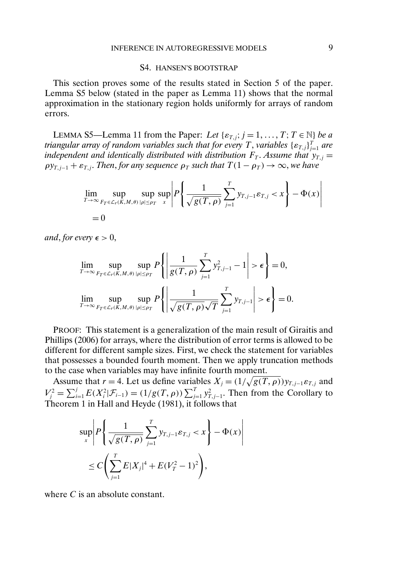## S4. HANSEN'S BOOTSTRAP

This section proves some of the results stated in Section 5 of the paper. Lemma S5 below (stated in the paper as Lemma 11) shows that the normal approximation in the stationary region holds uniformly for arrays of random errors.

LEMMA S5—Lemma 11 from the Paper: *Let*  $\{\varepsilon_{T,j}; j = 1, ..., T; T \in \mathbb{N}\}\$  *be a* triangular array of random variables such that for every T , variables  $\{\varepsilon_{T,j}\}_{j=1}^T$  are *independent and identically distributed with distribution*  $F_T$ . Assume that  $y_{T,j} =$  $\rho y_{T,i-1} + \varepsilon_{T,i}$ *. Then, for any sequence*  $\rho_T$  *such that*  $T(1 - \rho_T) \to \infty$ *, we have* 

$$
\lim_{T \to \infty} \sup_{F_T \in \mathcal{L}_r(K,M,\theta)} \sup_{|\rho| \le \rho_T} \sup_x \left| P \left\{ \frac{1}{\sqrt{g(T,\rho)}} \sum_{j=1}^T y_{T,j-1} \varepsilon_{T,j} < x \right\} - \Phi(x) \right|
$$
\n
$$
= 0
$$

*and*, *for every*  $\epsilon > 0$ ,

$$
\lim_{T \to \infty} \sup_{F_T \in \mathcal{L}_r(K,M,\theta)} \sup_{|\rho| \le \rho_T} P\left\{ \left| \frac{1}{g(T,\rho)} \sum_{j=1}^T y_{T,j-1}^2 - 1 \right| > \epsilon \right\} = 0,
$$
  

$$
\lim_{T \to \infty} \sup_{F_T \in \mathcal{L}_r(K,M,\theta)} \sup_{|\rho| \le \rho_T} P\left\{ \left| \frac{1}{\sqrt{g(T,\rho)}\sqrt{T}} \sum_{j=1}^T y_{T,j-1} \right| > \epsilon \right\} = 0.
$$

PROOF: This statement is a generalization of the main result of Giraitis and Phillips (2006) for arrays, where the distribution of error terms is allowed to be different for different sample sizes. First, we check the statement for variables that possesses a bounded fourth moment. Then we apply truncation methods to the case when variables may have infinite fourth moment.

Assume that  $r = 4$ . Let us define variables  $X_j = (1/\sqrt{g(T, \rho)}) y_{T,j-1} \varepsilon_{T,j}$  and  $V_j^2 = \sum_{i=1}^j E(X_i^2 | \mathcal{F}_{i-1}) = (1/g(T, \rho)) \sum_{j=1}^T y_{T, j-1}^2$ . Then from the Corollary to Theorem 1 in Hall and Heyde (1981), it follows that

$$
\sup_{x} \left| P \left\{ \frac{1}{\sqrt{g(T, \rho)}} \sum_{j=1}^{T} y_{T, j-1} \varepsilon_{T, j} < x \right\} - \Phi(x) \right|
$$
\n
$$
\leq C \left( \sum_{j=1}^{T} E|X_j|^4 + E(V_T^2 - 1)^2 \right),
$$

where C is an absolute constant.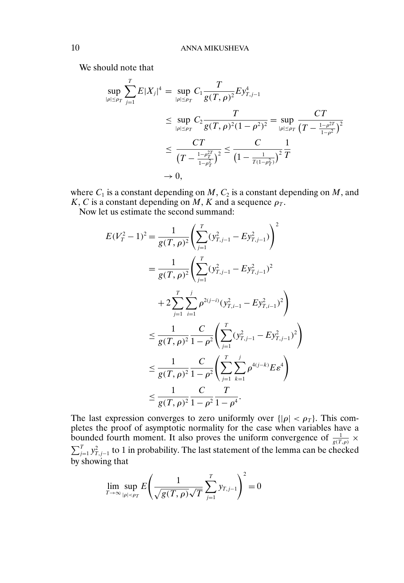We should note that

$$
\sup_{|\rho| \le \rho_T} \sum_{j=1}^T E|X_j|^4 = \sup_{|\rho| \le \rho_T} C_1 \frac{T}{g(T, \rho)^2} E y_{T, j-1}^4
$$
\n
$$
\le \sup_{|\rho| \le \rho_T} C_2 \frac{T}{g(T, \rho)^2 (1 - \rho^2)^2} = \sup_{|\rho| \le \rho_T} \frac{CT}{(T - \frac{1 - \rho^{2T}}{1 - \rho^2})^2}
$$
\n
$$
\le \frac{CT}{(T - \frac{1 - \rho^{2T}}{1 - \rho^2})^2} \le \frac{C}{(1 - \frac{1}{T(1 - \rho^2)}^2)^2} \frac{1}{T}
$$
\n
$$
\to 0,
$$

where  $C_1$  is a constant depending on  $M$ ,  $C_2$  is a constant depending on  $M$ , and K, C is a constant depending on M, K and a sequence  $\rho_T$ .

Now let us estimate the second summand:

$$
E(V_T^2 - 1)^2 = \frac{1}{g(T, \rho)^2} \left( \sum_{j=1}^T (y_{T,j-1}^2 - Ey_{T,j-1}^2) \right)^2
$$
  
= 
$$
\frac{1}{g(T, \rho)^2} \left( \sum_{j=1}^T (y_{T,j-1}^2 - Ey_{T,j-1}^2)^2 + 2 \sum_{j=1}^T \sum_{i=1}^j \rho^{2(j-i)} (y_{T,i-1}^2 - Ey_{T,i-1}^2)^2 \right)
$$
  

$$
\leq \frac{1}{g(T, \rho)^2} \frac{C}{1 - \rho^2} \left( \sum_{j=1}^T (y_{T,j-1}^2 - Ey_{T,j-1}^2)^2 \right)
$$
  

$$
\leq \frac{1}{g(T, \rho)^2} \frac{C}{1 - \rho^2} \left( \sum_{j=1}^T \sum_{k=1}^j \rho^{4(j-k)} E \epsilon^4 \right)
$$
  

$$
\leq \frac{1}{g(T, \rho)^2} \frac{C}{1 - \rho^2} \frac{T}{1 - \rho^4}.
$$

The last expression converges to zero uniformly over  $\{|\rho| < \rho_T\}$ . This completes the proof of asymptotic normality for the case when variables have a bounded fourth moment. It also proves the uniform convergence of  $\frac{1}{g(T,\rho)} \times$  $\sum_{j=1}^{T} y_{T,j-1}^2$  to 1 in probability. The last statement of the lemma can be checked by showing that

$$
\lim_{T \to \infty} \sup_{|\rho| < \rho_T} E\left(\frac{1}{\sqrt{g(T,\rho)}\sqrt{T}} \sum_{j=1}^T y_{T,j-1}\right)^2 = 0
$$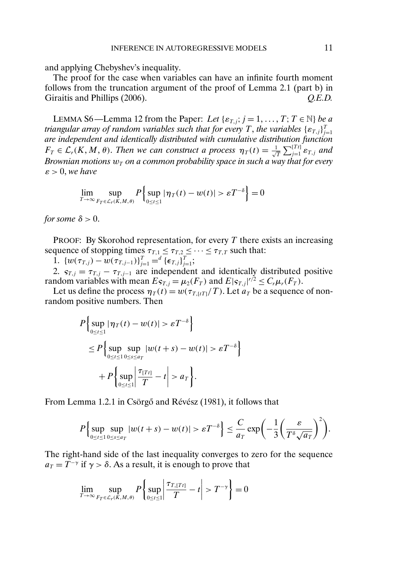and applying Chebyshev's inequality.

The proof for the case when variables can have an infinite fourth moment follows from the truncation argument of the proof of Lemma 2.1 (part b) in Giraitis and Phillips (2006). *Q.E.D. Q.E.D.* 

LEMMA S6—Lemma 12 from the Paper: *Let*  $\{\varepsilon_{T,j}; j = 1, ..., T; T \in \mathbb{N}\}\$  *be a triangular array of random variables such that for every T, the variables*  $\{\varepsilon_{T,j}\}_{j=1}^T$ *are independent and identically distributed with cumulative distribution function*  $F_T \in \mathcal{L}_r(K, M, \theta)$ . Then we can construct a process  $\eta_T(t) = \frac{1}{\sqrt{T}} \sum_{j=1}^{[T_t]} \varepsilon_{T, j}$  and *Brownian motions*  $w_T$  *on a common probability space in such a way that for every*  $\varepsilon > 0$ , we have

$$
\lim_{T \to \infty} \sup_{F_T \in \mathcal{L}_r(K,M,\theta)} P\left\{ \sup_{0 \le t \le 1} |\eta_T(t) - w(t)| > \varepsilon T^{-\delta} \right\} = 0
$$

*for some*  $\delta > 0$ .

PROOF: By Skorohod representation, for every  $T$  there exists an increasing sequence of stopping times  $\tau_{T,1} \leq \tau_{T,2} \leq \cdots \leq \tau_{T,T}$  such that:

1.  $\{w(\tau_{T,j}) - w(\tau_{T,j-1})\}_{j=1}^T =^d {\{\epsilon_{T,j}\}}_{j=1}^T;$ 

2.  $s_{T,j} = \tau_{T,j} - \tau_{T,j-1}$  are independent and identically distributed positive random variables with mean  $E_{\mathcal{S}_{T,j}} = \mu_2(F_T)$  and  $E|\mathcal{S}_{T,j}|^{r/2} \leq C_r \mu_r(F_T)$ .

Let us define the process  $\eta_T(t) = w(\tau_{T,\{tT\}}/T)$ . Let  $a_T$  be a sequence of nonrandom positive numbers. Then

$$
P\left\{\sup_{0\leq t\leq 1}|\eta_T(t)-w(t)|>\varepsilon T^{-\delta}\right\}
$$
  
\n
$$
\leq P\left\{\sup_{0\leq t\leq 1}\sup_{0\leq s\leq a_T}|w(t+s)-w(t)|>\varepsilon T^{-\delta}\right\}
$$
  
\n
$$
+P\left\{\sup_{0\leq t\leq 1}\left|\frac{\tau_{[T_t]}}{T}-t\right|>a_T\right\}.
$$

From Lemma 1.2.1 in Csörgő and Révész (1981), it follows that

$$
P\Big\{\sup_{0\leq t\leq 1}\sup_{0\leq s\leq a_T}|w(t+s)-w(t)|>\varepsilon T^{-\delta}\Big\}\leq \frac{C}{a_T}\exp\bigg(-\frac{1}{3}\bigg(\frac{\varepsilon}{T^{\delta}\sqrt{a_T}}\bigg)^2\bigg).
$$

The right-hand side of the last inequality converges to zero for the sequence  $a_T = T^{-\gamma}$  if  $\gamma > \delta$ . As a result, it is enough to prove that

$$
\lim_{T \to \infty} \sup_{F_T \in \mathcal{L}_r(K,M,\theta)} P\left\{ \sup_{0 \le t \le 1} \left| \frac{\tau_{T,[Tt]}}{T} - t \right| > T^{-\gamma} \right\} = 0
$$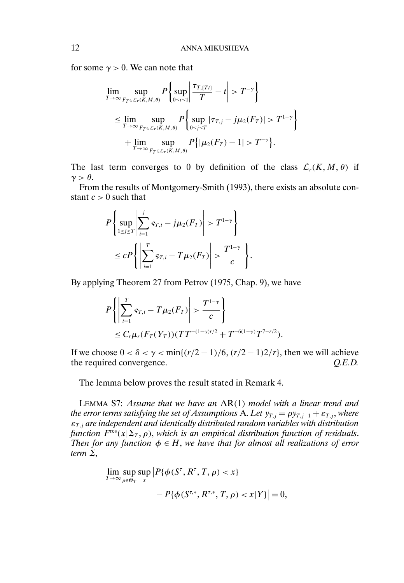for some  $\gamma > 0$ . We can note that

$$
\lim_{T \to \infty} \sup_{F_T \in \mathcal{L}_r(K,M,\theta)} P\left\{ \sup_{0 \le t \le 1} \left| \frac{\tau_{T,[Tt]}}{T} - t \right| > T^{-\gamma} \right\}
$$
\n
$$
\le \lim_{T \to \infty} \sup_{F_T \in \mathcal{L}_r(K,M,\theta)} P\left\{ \sup_{0 \le j \le T} |\tau_{T,j} - j\mu_2(F_T)| > T^{1-\gamma} \right\}
$$
\n
$$
+ \lim_{T \to \infty} \sup_{F_T \in \mathcal{L}_r(K,M,\theta)} P\left\{ |\mu_2(F_T) - 1| > T^{-\gamma} \right\}.
$$

The last term converges to 0 by definition of the class  $\mathcal{L}_r(K,M,\theta)$  if  $\gamma > \theta$ .

From the results of Montgomery-Smith (1993), there exists an absolute constant  $c > 0$  such that

$$
P\left\{\sup_{1\leq j\leq T}\left|\sum_{i=1}^{j} s_{T,i} - j\mu_2(F_T)\right| > T^{1-\gamma}\right\}
$$
  

$$
\leq cP\left\{\left|\sum_{i=1}^{T} s_{T,i} - T\mu_2(F_T)\right| > \frac{T^{1-\gamma}}{c}\right\}.
$$

By applying Theorem 27 from Petrov (1975, Chap. 9), we have

$$
P\left\{ \left| \sum_{i=1}^{T} s_{T,i} - T \mu_2(F_T) \right| > \frac{T^{1-\gamma}}{c} \right\}
$$
  
\$\leq C\_r \mu\_r(F\_T(Y\_T))(TT^{-(1-\gamma)r/2} + T^{-6(1-\gamma)}T^{7-r/2}).

If we choose  $0 < \delta < \gamma < \min\{(r/2 - 1)/6, (r/2 - 1)2/r\}$ , then we will achieve the required convergence. *Q.E.D.*

The lemma below proves the result stated in Remark 4.

LEMMA S7: *Assume that we have an* AR(1) *model with a linear trend and the error terms satisfying the set of Assumptions* A. Let  $y_{T,j} = \rho y_{T,j-1} + \varepsilon_{T,j}$ *, where*  $\varepsilon_{T,i}$  are independent and identically distributed random variables with distribution *function*  $F^{\text{res}}(x|\Sigma_T, \rho)$ , *which is an empirical distribution function of residuals. Then for any function*  $\phi \in H$ , we have that for almost all realizations of error *term* Σ,

$$
\lim_{T \to \infty} \sup_{\rho \in \Theta_T} \sup_x \left| P\{\phi(S^\tau, R^\tau, T, \rho) < x\} \right|
$$
\n
$$
- P\{\phi(S^{\tau,*}, R^{\tau,*}, T, \rho) < x|Y\} \right| = 0,
$$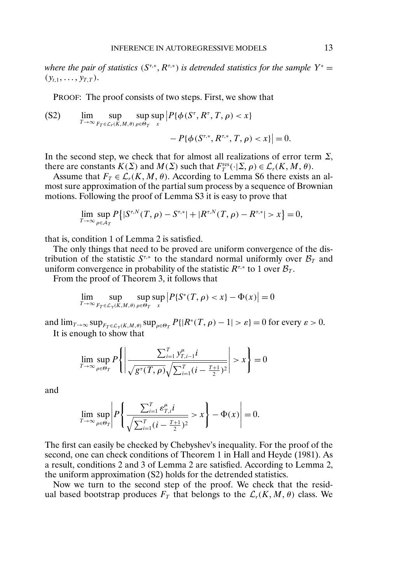*where the pair of statistics*  $(S^{\tau,*}, R^{\tau,*})$  *is detrended statistics for the sample*  $Y^* =$  $(y_{t,1}, \ldots, y_{T,T}).$ 

PROOF: The proof consists of two steps. First, we show that

$$
\begin{aligned} \text{(S2)} \qquad & \lim_{T \to \infty} \sup_{F_T \in \mathcal{L}_r(K,M,\theta)} \sup_{\rho \in \Theta_T} \left| P\{\phi(S^\tau, R^\tau, T, \rho) < x\} \right. \\ &\qquad \qquad - \left| P\{\phi(S^{\tau,*}, R^{\tau,*}, T, \rho) < x\} \right| = 0. \end{aligned}
$$

In the second step, we check that for almost all realizations of error term  $\Sigma$ , there are constants  $K(\Sigma)$  and  $M(\Sigma)$  such that  $F_T^{\text{res}}(\cdot | \Sigma, \rho) \in \mathcal{L}_r(K, M, \theta)$ .

Assume that  $F_T \in \mathcal{L}_r(K, M, \theta)$ . According to Lemma S6 there exists an almost sure approximation of the partial sum process by a sequence of Brownian motions. Following the proof of Lemma S3 it is easy to prove that

$$
\lim_{T \to \infty} \sup_{\rho \in \mathcal{A}_T} P\big\{|S^{\tau,N}(T,\rho) - S^{\tau,*}| + |R^{\tau,N}(T,\rho) - R^{\tau,*}| > x\big\} = 0,
$$

that is, condition 1 of Lemma 2 is satisfied.

The only things that need to be proved are uniform convergence of the distribution of the statistic  $S^{\tau,*}$  to the standard normal uniformly over  $\mathcal{B}_T$  and uniform convergence in probability of the statistic  $R^{\tau,*}$  to 1 over  $\mathcal{B}_T$ .

From the proof of Theorem 3, it follows that

$$
\lim_{T \to \infty} \sup_{F_T \in \mathcal{L}_{\gamma}(K,M,\theta)} \sup_{\rho \in \Theta_T} \sup_x \left| P\{ S^*(T,\rho) < x \} - \Phi(x) \right| = 0
$$

and  $\lim_{T\to\infty} \sup_{F_T \in \mathcal{L}_{\gamma}(K,M,\theta)} \sup_{\rho \in \Theta_T} P\{|R^*(T,\rho) - 1| > \varepsilon\} = 0$  for every  $\varepsilon > 0$ . It is enough to show that

$$
\lim_{T \to \infty} \sup_{\rho \in \Theta_T} P \left\{ \left| \frac{\sum_{i=1}^T y_{T,i-1}^{\mu} i}{\sqrt{g^{\tau}(T, \rho)} \sqrt{\sum_{i=1}^T (i - \frac{T+1}{2})^2}} \right| > x \right\} = 0
$$

and

$$
\lim_{T \to \infty} \sup_{\rho \in \Theta_T} \left| P \left\{ \frac{\sum_{i=1}^T \varepsilon_{T,i}^{\mu} i}{\sqrt{\sum_{i=1}^T (i - \frac{T+1}{2})^2}} > x \right\} - \Phi(x) \right| = 0.
$$

The first can easily be checked by Chebyshev's inequality. For the proof of the second, one can check conditions of Theorem 1 in Hall and Heyde (1981). As a result, conditions 2 and 3 of Lemma 2 are satisfied. According to Lemma 2, the uniform approximation (S2) holds for the detrended statistics.

Now we turn to the second step of the proof. We check that the residual based bootstrap produces  $F_T$  that belongs to the  $\mathcal{L}_r(K, M, \theta)$  class. We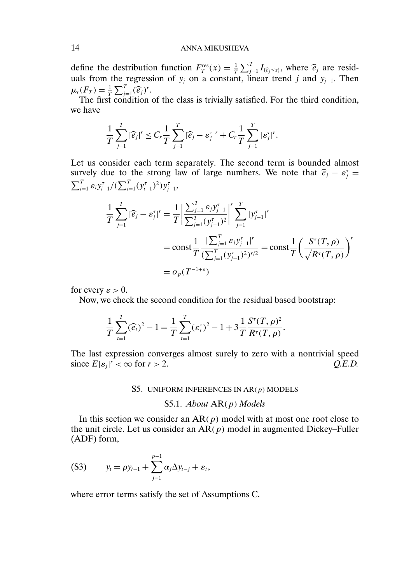### 14 ANNA MIKUSHEVA

define the destribution function  $F_T^{\text{res}}(x) = \frac{1}{T} \sum_{i=1}^T I_{\{\widehat{e}_i \leq x\}}$ , where  $\widehat{e}_i$  are residuals from the regression of  $y_j$  on a constant, linear trend j and  $y_{j-1}$ . Then  $\mu_r(F_T) = \frac{1}{T} \sum_{j=1}^T (\widehat{e}_j)^r$ .<br>The first condition

The first condition of the class is trivially satisfied. For the third condition, we have

$$
\frac{1}{T}\sum_{j=1}^T|\widehat{e}_j|^r\leq C_r\frac{1}{T}\sum_{j=1}^T|\widehat{e}_j-\varepsilon_j^{\tau}|^r+C_r\frac{1}{T}\sum_{j=1}^T|\varepsilon_j^{\tau}|^r.
$$

Let us consider each term separately. The second term is bounded almost survely due to the strong law of large numbers. We note that  $\hat{e}_j - \varepsilon_j^{\tau} = \sum_{j=1}^{T} (f_j - \varepsilon_j^{\tau})^2$  $\sum_{i=1}^T \varepsilon_i y_{i-1}^{\tau}/(\sum_{i=1}^T (y_{i-1}^{\tau})^2) y_{j-1}^{\tau}$ 

$$
\frac{1}{T} \sum_{j=1}^{T} |\widehat{e}_j - \varepsilon_j^{\tau}|^r = \frac{1}{T} \left| \frac{\sum_{j=1}^{T} \varepsilon_j y_{j-1}^{\tau}}{\sum_{j=1}^{T} (y_{j-1}^{\tau})^2} \right|^r \sum_{j=1}^{T} |y_{j-1}^{\tau}|^r
$$
\n
$$
= \text{const} \frac{1}{T} \frac{|\sum_{j=1}^{T} \varepsilon_j y_{j-1}^{\tau}|^r}{(\sum_{j=1}^{T} (y_{j-1}^{\tau})^2)^{r/2}} = \text{const} \frac{1}{T} \left( \frac{S^{\tau}(T, \rho)}{\sqrt{R^{\tau}(T, \rho)}} \right)^r
$$
\n
$$
= o_p(T^{-1+\varepsilon})
$$

for every  $\varepsilon > 0$ .

Now, we check the second condition for the residual based bootstrap:

$$
\frac{1}{T}\sum_{t=1}^T(\widehat{e}_t)^2 - 1 = \frac{1}{T}\sum_{t=1}^T(\varepsilon_t^{\tau})^2 - 1 + 3\frac{1}{T}\frac{S^{\tau}(T,\rho)^2}{R^{\tau}(T,\rho)}.
$$

The last expression converges almost surely to zero with a nontrivial speed since  $E|\varepsilon_j|^r < \infty$  for  $r > 2$ .  $Q.E.D.$ 

#### S5. UNIFORM INFERENCES IN  $AR(p)$  MODELS

#### S5.1. *About* AR(p) *Models*

In this section we consider an  $AR(p)$  model with at most one root close to the unit circle. Let us consider an  $AR(p)$  model in augmented Dickey–Fuller (ADF) form,

(S3) 
$$
y_t = \rho y_{t-1} + \sum_{j=1}^{p-1} \alpha_j \Delta y_{t-j} + \varepsilon_t,
$$

where error terms satisfy the set of Assumptions C.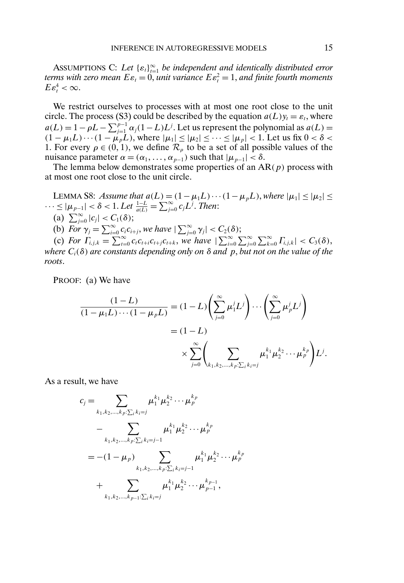ASSUMPTIONS C: Let  $\{\varepsilon_t\}_{t=1}^{\infty}$  be independent and identically distributed error *terms with zero mean*  $E \varepsilon_t = 0$ *, unit variance*  $E \varepsilon_t^2 = 1$ *, and finite fourth moments*  $E\varepsilon_t^4 < \infty$ .

We restrict ourselves to processes with at most one root close to the unit circle. The process (S3) could be described by the equation  $a(L)y_t = \varepsilon_t$ , where  $a(L) = 1 - \rho L - \sum_{j=1}^{p-1} \alpha_j (1 - L) L^j$ . Let us represent the polynomial as  $a(L) =$  $(1 - \mu_1 L) \cdots (1 - \mu_p L)$ , where  $|\mu_1| \leq |\mu_2| \leq \cdots \leq |\mu_p| < 1$ . Let us fix  $0 < \delta <$ 1. For every  $\rho \in (0, 1)$ , we define  $\mathcal{R}_{\rho}$  to be a set of all possible values of the nuisance parameter  $\alpha = (\alpha_1, \dots, \alpha_{p-1})$  such that  $|\mu_{p-1}| < \delta$ .

The lemma below demonstrates some properties of an  $AR(p)$  process with at most one root close to the unit circle.

LEMMA S8: *Assume that*  $a(L) = (1 - \mu_1 L) \cdots (1 - \mu_p L)$ , *where*  $|\mu_1| \leq |\mu_2| \leq$  $\cdots$  ≤ | $\mu_{p-1}$ | <  $\delta$  < 1. Let  $\frac{1-L}{a(L)} = \sum_{j=0}^{\infty} c_j L^j$ . Then: (a)  $\sum_{j=0}^{\infty} |c_j| < C_1(\delta);$ (b) *For*  $\gamma_j = \sum_{i=0}^{\infty} c_i c_{i+j}$ , *we have*  $|\sum_{j=0}^{\infty} \gamma_j| < C_2(\delta)$ ;

(c) *For*  $\Gamma_{i,j,k} = \sum_{t=0}^{\infty} c_t c_{t+i} c_{t+j} c_{t+k}$ , *we have*  $|\sum_{i=0}^{\infty} \sum_{j=0}^{\infty} \sum_{k=0}^{\infty} \Gamma_{i,j,k}| < C_3(\delta)$ , *where*  $C_i(\delta)$  *are constants depending only on*  $\delta$  *and*  $p$ , *but not on the value of the roots*.

PROOF: (a) We have

$$
\frac{(1-L)}{(1-\mu_1L)\cdots(1-\mu_pL)} = (1-L)\left(\sum_{j=0}^{\infty}\mu_1^jL^j\right)\cdots\left(\sum_{j=0}^{\infty}\mu_p^jL^j\right)
$$

$$
= (1-L)
$$

$$
\times \sum_{j=0}^{\infty}\left(\sum_{k_1,k_2,\dots,k_p:\sum_{i}k_i=j}\mu_1^{k_1}\mu_2^{k_2}\cdots\mu_p^{k_p}\right)L^j.
$$

As a result, we have

$$
c_j = \sum_{k_1, k_2, \dots, k_p: \sum_i k_i = j} \mu_1^{k_1} \mu_2^{k_2} \cdots \mu_p^{k_p}
$$
  
- 
$$
\sum_{k_1, k_2, \dots, k_p: \sum_i k_i = j-1} \mu_1^{k_1} \mu_2^{k_2} \cdots \mu_p^{k_p}
$$
  
= 
$$
-(1 - \mu_p) \sum_{k_1, k_2, \dots, k_p: \sum_i k_i = j-1} \mu_1^{k_1} \mu_2^{k_2} \cdots \mu_p^{k_p}
$$
  
+ 
$$
\sum_{k_1, k_2, \dots, k_{p-1}: \sum_i k_i = j} \mu_1^{k_1} \mu_2^{k_2} \cdots \mu_{p-1}^{k_{p-1}},
$$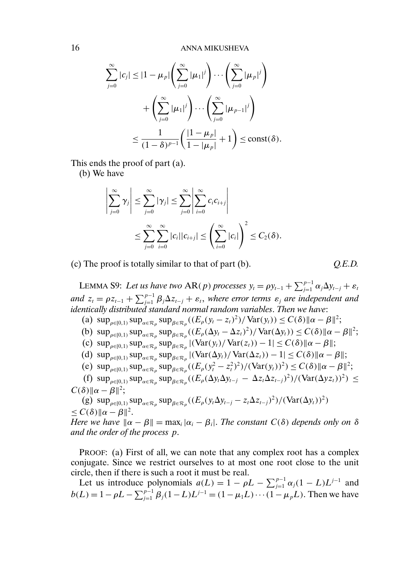$$
\sum_{j=0}^{\infty} |c_j| \le |1 - \mu_p| \left( \sum_{j=0}^{\infty} |\mu_1|^j \right) \cdots \left( \sum_{j=0}^{\infty} |\mu_p|^j \right)
$$

$$
+ \left( \sum_{j=0}^{\infty} |\mu_1|^j \right) \cdots \left( \sum_{j=0}^{\infty} |\mu_{p-1}|^j \right)
$$

$$
\le \frac{1}{(1 - \delta)^{p-1}} \left( \frac{|1 - \mu_p|}{1 - |\mu_p|} + 1 \right) \le \text{const}(\delta).
$$

This ends the proof of part (a).

(b) We have

$$
\left|\sum_{j=0}^{\infty} \gamma_j\right| \leq \sum_{j=0}^{\infty} |\gamma_j| \leq \sum_{j=0}^{\infty} \left|\sum_{i=0}^{\infty} c_i c_{i+j}\right|
$$
  

$$
\leq \sum_{j=0}^{\infty} \sum_{i=0}^{\infty} |c_i| |c_{i+j}| \leq \left(\sum_{i=0}^{\infty} |c_i|\right)^2 \leq C_2(\delta).
$$

(c) The proof is totally similar to that of part (b). *Q.E.D.*

LEMMA S9: Let us have two  $AR(p)$  processes  $y_t = \rho y_{t-1} + \sum_{j=1}^{p-1} \alpha_j \Delta y_{t-j} + \varepsilon_t$ and  $z_t = \rho z_{t-1} + \sum_{j=1}^{p-1} \beta_j \Delta z_{t-j} + \varepsilon_t$ , where error terms  $\varepsilon_j$  are independent and *identically distributed standard normal random variables*. *Then we have*:

- (a)  $\sup_{\rho \in [0,1)} \sup_{\alpha \in \mathcal{R}_{\rho}} \sup_{\beta \in \mathcal{R}_{\rho}} ((E_{\rho}(y_t z_t)^2) / \text{Var}(y_t)) \leq C(\delta) ||\alpha \beta||^2;$
- (b)  $\sup_{\rho \in [0,1)} \sup_{\alpha \in \mathcal{R}_{\rho}} \sup_{\beta \in \mathcal{R}_{\rho}} ((E_{\rho}(\Delta y_t \Delta z_t)^2) / \text{Var}(\Delta y_t)) \leq C(\delta) ||\alpha \beta||^2;$
- (c)  $\sup_{\rho\in[0,1)} \sup_{\alpha\in\mathcal{R}_{\rho}} \sup_{\beta\in\mathcal{R}_{\rho}} |(\text{Var}(y_t)/\text{Var}(z_t)) 1| \leq C(\delta) \|\alpha \beta\|;$
- (d)  $\sup_{\rho \in [0,1)} \sup_{\alpha \in \mathcal{R}_{\rho}} \sup_{\beta \in \mathcal{R}_{\rho}} |(\text{Var}(\Delta y_t)/\text{Var}(\Delta z_t)) 1| \leq C(\delta) \|\alpha \beta\|;$
- (e)  $\sup_{\rho \in [0,1)} \sup_{\alpha \in \mathcal{R}_{\rho}} \sup_{\beta \in \mathcal{R}_{\rho}} ((E_{\rho} (y_t^2 z_t^2)^2) / (\text{Var}(y_t))^2) \leq C(\delta) ||\alpha \beta||^2;$

(f)  $\sup_{\rho \in [0,1)} \sup_{\alpha \in \mathcal{R}_{\rho}} \sup_{\beta \in \mathcal{R}_{\rho}} ((E_{\rho}(\Delta y_t \Delta y_{t-j} - \Delta z_t \Delta z_{t-j})^2) / (\text{Var}(\Delta y z_t))^2) \le$  $C(\delta)$ ll $\alpha - \beta$ ll<sup>2</sup>;

(g) 
$$
\sup_{\rho \in [0,1)} \sup_{\alpha \in \mathcal{R}_{\rho}} \sup_{\beta \in \mathcal{R}_{\rho}} ((E_{\rho} (y_t \Delta y_{t-j} - z_t \Delta z_{t-j})^2) / (\text{Var}(\Delta y_t))^2)
$$
  
  $\leq C(\delta) ||\alpha - \beta||^2$ .

*Here we have*  $\|\alpha - \beta\| = \max_i |\alpha_i - \beta_i|$ *. The constant*  $C(\delta)$  *depends only on*  $\delta$ *and the order of the process* p.

PROOF: (a) First of all, we can note that any complex root has a complex conjugate. Since we restrict ourselves to at most one root close to the unit circle, then if there is such a root it must be real.

Let us introduce polynomials  $a(L) = 1 - \rho L - \sum_{j=1}^{p-1} \alpha_j (1 - L) L^{j-1}$  and  $b(L) = 1 - \rho L - \sum_{j=1}^{p-1} \beta_j (1 - L) L^{j-1} = (1 - \mu_1 L) \cdots (1 - \mu_p L)$ . Then we have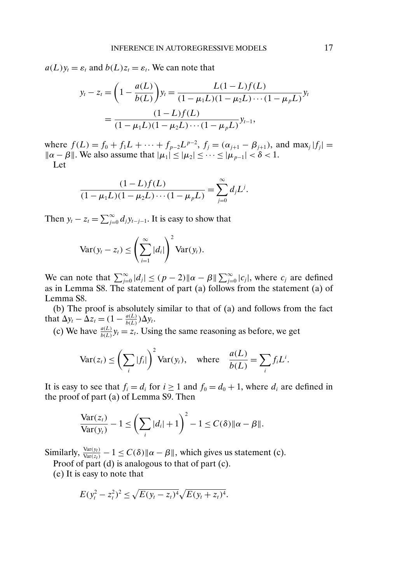$a(L)y_t = \varepsilon_t$  and  $b(L)z_t = \varepsilon_t$ . We can note that

$$
y_t - z_t = \left(1 - \frac{a(L)}{b(L)}\right) y_t = \frac{L(1 - L)f(L)}{(1 - \mu_1 L)(1 - \mu_2 L) \cdots (1 - \mu_p L)} y_t
$$

$$
= \frac{(1 - L)f(L)}{(1 - \mu_1 L)(1 - \mu_2 L) \cdots (1 - \mu_p L)} y_{t-1},
$$

where  $f(L) = f_0 + f_1 L + \cdots + f_{p-2} L^{p-2}$ ,  $f_j = (\alpha_{j+1} - \beta_{j+1})$ , and max<sub>j</sub>  $|f_j|$  =  $\|\alpha - \beta\|$ . We also assume that  $|\mu_1| \leq |\mu_2| \leq \cdots \leq |\mu_{p-1}| < \delta < 1$ .

Let

$$
\frac{(1-L)f(L)}{(1-\mu_1L)(1-\mu_2L)\cdots(1-\mu_pL)}=\sum_{j=0}^{\infty}d_jL^j.
$$

Then  $y_t - z_t = \sum_{j=0}^{\infty} d_j y_{t-j-1}$ . It is easy to show that

$$
\text{Var}(y_t - z_t) \leq \left(\sum_{i=1}^{\infty} |d_i|\right)^2 \text{Var}(y_t).
$$

We can note that  $\sum_{j=0}^{\infty} |d_j| \le (p-2) ||\alpha - \beta|| \sum_{j=0}^{\infty} |c_j|$ , where  $c_j$  are defined as in Lemma S8. The statement of part (a) follows from the statement (a) of Lemma S8.

(b) The proof is absolutely similar to that of (a) and follows from the fact that  $\Delta y_t - \Delta z_t = (1 - \frac{a(L)}{b(L)}) \Delta y_t$ .

(c) We have  $\frac{a(L)}{b(L)} y_t = z_t$ . Using the same reasoning as before, we get

$$
\text{Var}(z_t) \le \left(\sum_i |f_i|\right)^2 \text{Var}(y_t), \quad \text{where} \quad \frac{a(L)}{b(L)} = \sum_i f_i L^i.
$$

It is easy to see that  $f_i = d_i$  for  $i \ge 1$  and  $f_0 = d_0 + 1$ , where  $d_i$  are defined in the proof of part (a) of Lemma S9. Then

$$
\frac{\text{Var}(z_t)}{\text{Var}(y_t)} - 1 \le \left(\sum_i |d_i| + 1\right)^2 - 1 \le C(\delta) \|\alpha - \beta\|.
$$

Similarly,  $\frac{Var(y_t)}{Var(z_t)} - 1 \le C(\delta) ||\alpha - \beta||$ , which gives us statement (c).

Proof of part (d) is analogous to that of part (c).

(e) It is easy to note that

$$
E(y_t^2 - z_t^2)^2 \le \sqrt{E(y_t - z_t)^4} \sqrt{E(y_t + z_t)^4}.
$$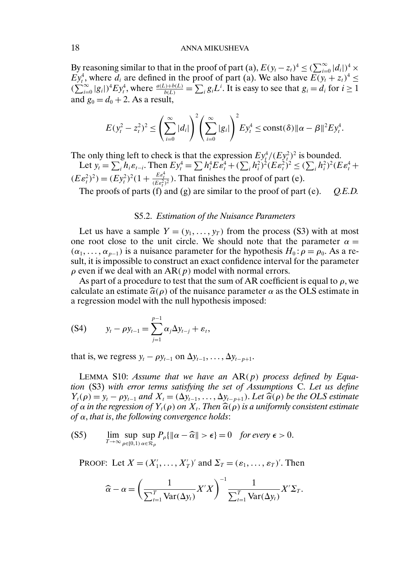## 18 **ANNA MIKUSHEVA**

By reasoning similar to that in the proof of part (a),  $E(y_t - z_t)^4 \leq (\sum_{i=0}^{\infty} |d_i|)^4 \times$  $Ey_t^4$ , where  $d_i$  are defined in the proof of part (a). We also have  $E(y_t + z_t)^4 \leq$  $(\sum_{i=0}^{\infty} |g_i|)^4 E y_i^4$ , where  $\frac{a(L)+b(L)}{b(L)} = \sum_i g_i L^i$ . It is easy to see that  $g_i = d_i$  for  $i \ge 1$ and  $g_0 = d_0 + 2$ . As a result,

$$
E(y_t^2 - z_t^2)^2 \leq \left(\sum_{i=0}^{\infty} |d_i|\right)^2 \left(\sum_{i=0}^{\infty} |g_i|\right)^2 E y_t^4 \leq \text{const}(\delta) \|\alpha - \beta\|^2 E y_t^4.
$$

The only thing left to check is that the expression  $E y_t^4/(E y_t^2)^2$  is bounded.

Let  $y_t = \sum_i h_i \varepsilon_{t-i}$ . Then  $E y_t^4 = \sum h_i^4 E \varepsilon_t^4 + (\sum_i h_i^2)^2 (E \varepsilon_t^2)^2 \le (\sum_i h_i^2)^2 (E \varepsilon_t^4 +$  $(E\varepsilon_t^2)^2$  =  $(Ey_t^2)^2(1+\frac{E\varepsilon_t^4}{(E\varepsilon_t^2)^2})$ . That finishes the proof of part (e).

The proofs of parts (f) and (g) are similar to the proof of part (e). *Q.E.D.*

## S5.2. *Estimation of the Nuisance Parameters*

Let us have a sample  $Y = (y_1, \ldots, y_T)$  from the process (S3) with at most one root close to the unit circle. We should note that the parameter  $\alpha =$  $(\alpha_1, \dots, \alpha_{p-1})$  is a nuisance parameter for the hypothesis  $H_0$ :  $\rho = \rho_0$ . As a result, it is impossible to construct an exact confidence interval for the parameter  $\rho$  even if we deal with an AR( $p$ ) model with normal errors.

As part of a procedure to test that the sum of AR coefficient is equal to  $\rho$ , we calculate an estimate  $\hat{\alpha}(\rho)$  of the nuisance parameter  $\alpha$  as the OLS estimate in a regression model with the null hypothesis imposed: a regression model with the null hypothesis imposed:

$$
(S4) \t y_t - \rho y_{t-1} = \sum_{j=1}^{p-1} \alpha_j \Delta y_{t-j} + \varepsilon_t,
$$

that is, we regress  $y_t - \rho y_{t-1}$  on  $\Delta y_{t-1}, \ldots, \Delta y_{t-p+1}$ .

LEMMA S10: *Assume that we have an* AR(p) *process defined by Equation* (S3) *with error terms satisfying the set of Assumptions* C. *Let us define*  $Y_t(\rho) = y_t - \rho y_{t-1}$  and  $X_t = (\Delta y_{t-1}, \dots, \Delta y_{t-p+1})$ . Let  $\widehat{\alpha}(\rho)$  be the OLS estimate<br>of  $\alpha$  in the regression of  $Y_s(\rho)$  on  $X$ . Then  $\widehat{\alpha}(\rho)$  is a uniformly consistent estimate *of* α in the regression of Y<sub>t</sub>(ρ) on X<sub>t</sub>. Then  $\widehat{\alpha}(\rho)$  is a uniformly consistent estimate<br>of α that is, the following convergence holds: *of* α, *that is*, *the following convergence holds*:

$$
\text{(S5)} \qquad \lim_{T \to \infty} \sup_{\rho \in [0,1)} \sup_{\alpha \in \mathcal{R}_{\rho}} P_{\rho} \{ \|\alpha - \widehat{\alpha}\| > \epsilon \} = 0 \quad \text{for every } \epsilon > 0.
$$

PROOF: Let  $X = (X'_1, \ldots, X'_T)'$  and  $\Sigma_T = (\varepsilon_1, \ldots, \varepsilon_T)'$ . Then

$$
\widehat{\alpha} - \alpha = \left(\frac{1}{\sum_{t=1}^{T} \text{Var}(\Delta y_t)} X'X\right)^{-1} \frac{1}{\sum_{t=1}^{T} \text{Var}(\Delta y_t)} X'\Sigma_T.
$$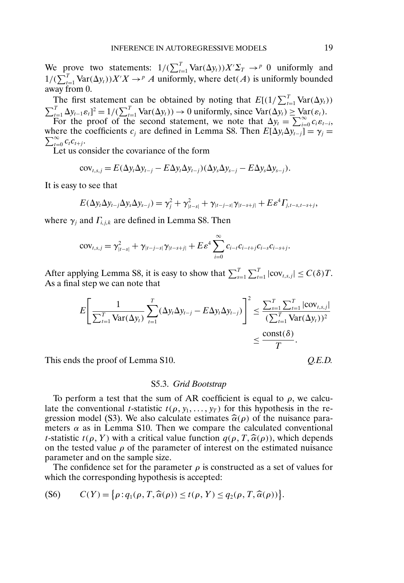We prove two statements:  $1/(\sum_{t=1}^{T} \text{Var}(\Delta y_t)) X' \Sigma_T \rightarrow^p 0$  uniformly and  $1/(\sum_{t=1}^{T} \text{Var}(\Delta y_t)) X'X \to^p A$  uniformly, where  $\det(A)$  is uniformly bounded away from 0.

The first statement can be obtained by noting that  $E[(1/\sum_{t=1}^{T} \text{Var}(\Delta y_t))]$  $\sum_{t=1}^{T} \Delta y_{t-1} \varepsilon_t]^2 = 1/(\sum_{t=1}^{T} \text{Var}(\Delta y_t)) \to 0$  uniformly, since  $\text{Var}(\Delta y_t) \geq \text{Var}(\varepsilon_t)$ . For the proof of the second statement, we note that  $\Delta y_t = \sum_{i=0}^{\infty} c_i \varepsilon_{t-i}$ , where the coefficients  $c_j$  are defined in Lemma S8. Then  $E[\Delta y_t \Delta y_{t-j}] = \gamma_j = \sum_{k=1}^{\infty}$  $\sum_{t=0}^{\infty} c_t c_{t+j}$ .

Let us consider the covariance of the form

$$
cov_{t,s,j} = E(\Delta y_t \Delta y_{t-j} - E \Delta y_t \Delta y_{t-j}) (\Delta y_s \Delta y_{s-j} - E \Delta y_s \Delta y_{s-j}).
$$

It is easy to see that

$$
E(\Delta y_t \Delta y_{t-j} \Delta y_s \Delta y_{s-j}) = \gamma_j^2 + \gamma_{|t-s|}^2 + \gamma_{|t-j-s|} \gamma_{|t-s+j|} + E \varepsilon^4 \Gamma_{j,t-s,t-s+j},
$$

where  $\gamma_i$  and  $\Gamma_{i,j,k}$  are defined in Lemma S8. Then

$$
cov_{t,s,j} = \gamma_{|t-s|}^2 + \gamma_{|t-j-s|} \gamma_{|t-s+j|} + E \varepsilon^4 \sum_{i=0}^{\infty} c_{i-t} c_{i-t+j} c_{i-s} c_{i-s+j}.
$$

After applying Lemma S8, it is easy to show that  $\sum_{s=1}^{T} \sum_{t=1}^{T} |cov_{t,s,j}| \le C(\delta)T$ . As a final step we can note that

$$
E\left[\frac{1}{\sum_{t=1}^{T} \text{Var}(\Delta y_t)} \sum_{t=1}^{T} (\Delta y_t \Delta y_{t-j} - E \Delta y_t \Delta y_{t-j})\right]^2 \le \frac{\sum_{s=1}^{T} \sum_{t=1}^{T} |\text{cov}_{t,s,j}|}{(\sum_{t=1}^{T} \text{Var}(\Delta y_t))^2} \le \frac{\text{const}(\delta)}{T}.
$$

This ends the proof of Lemma S10.

### S5.3. *Grid Bootstrap*

To perform a test that the sum of AR coefficient is equal to  $\rho$ , we calculate the conventional *t*-statistic  $t(\rho, y_1, \ldots, y_T)$  for this hypothesis in the regression model (S3). We also calculate estimates  $\hat{\alpha}(\rho)$  of the nuisance para-<br>meters  $\alpha$  as in Lemma S10. Then we compare the calculated conventional meters  $\alpha$  as in Lemma S10. Then we compare the calculated conventional *t*-statistic  $t(\rho, Y)$  with a critical value function  $q(\rho, T, \hat{\alpha}(\rho))$ , which depends<br>on the tested value  $\rho$  of the parameter of interest on the estimated nuisance on the tested value  $\rho$  of the parameter of interest on the estimated nuisance parameter and on the sample size.

The confidence set for the parameter  $\rho$  is constructed as a set of values for which the corresponding hypothesis is accepted:

$$
(S6) \qquad C(Y) = \big\{ \rho : q_1(\rho, T, \widehat{\alpha}(\rho)) \le t(\rho, Y) \le q_2(\rho, T, \widehat{\alpha}(\rho)) \big\}.
$$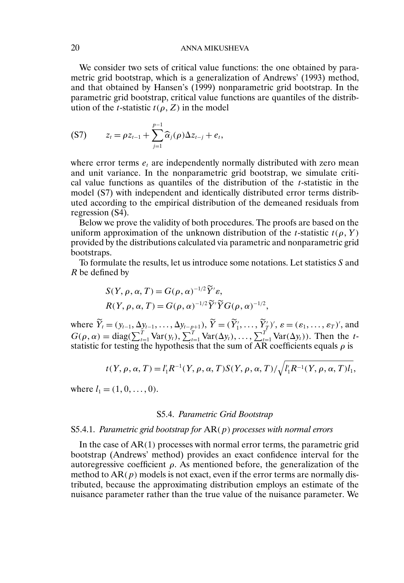## 20 ANNA MIKUSHEVA

We consider two sets of critical value functions: the one obtained by parametric grid bootstrap, which is a generalization of Andrews' (1993) method, and that obtained by Hansen's (1999) nonparametric grid bootstrap. In the parametric grid bootstrap, critical value functions are quantiles of the distribution of the *t*-statistic  $t(\rho, Z)$  in the model

$$
(S7) \t z_t = \rho z_{t-1} + \sum_{j=1}^{p-1} \widehat{\alpha}_j(\rho) \Delta z_{t-j} + e_t,
$$

where error terms  $e_t$  are independently normally distributed with zero mean and unit variance. In the nonparametric grid bootstrap, we simulate critical value functions as quantiles of the distribution of the t-statistic in the model (S7) with independent and identically distributed error terms distributed according to the empirical distribution of the demeaned residuals from regression (S4).

Below we prove the validity of both procedures. The proofs are based on the uniform approximation of the unknown distribution of the *t*-statistic  $t(\rho, Y)$ provided by the distributions calculated via parametric and nonparametric grid bootstraps.

To formulate the results, let us introduce some notations. Let statistics S and R be defined by

$$
S(Y, \rho, \alpha, T) = G(\rho, \alpha)^{-1/2} \tilde{Y}' \varepsilon,
$$
  
 
$$
R(Y, \rho, \alpha, T) = G(\rho, \alpha)^{-1/2} \tilde{Y}' \tilde{Y} G(\rho, \alpha)^{-1/2},
$$

where  $\tilde{Y}_t = (y_{t-1}, \Delta y_{t-1}, \dots, \Delta y_{t-p+1}), \, \tilde{Y} = (\tilde{Y}'_1, \dots, \tilde{Y}'_T)'. \, \varepsilon = (\varepsilon_1, \dots, \varepsilon_T)',$  and  $G(\rho, \alpha) = \text{diag}(\sum_{t=1}^T \text{Var}(y_t), \sum_{t=1}^T \text{Var}(\Delta y_t), \dots, \sum_{t=1}^T \text{Var}(\Delta y_t)).$  Then the tstatistic for testing the hypothesis that the sum of AR coefficients equals  $\rho$  is

$$
t(Y, \rho, \alpha, T) = l'_1 R^{-1}(Y, \rho, \alpha, T) S(Y, \rho, \alpha, T) / \sqrt{l'_1 R^{-1}(Y, \rho, \alpha, T) l_1},
$$

where  $l_1 = (1, 0, \dots, 0)$ .

### S5.4. *Parametric Grid Bootstrap*

#### S5.4.1. *Parametric grid bootstrap for* AR(p) *processes with normal errors*

In the case of  $AR(1)$  processes with normal error terms, the parametric grid bootstrap (Andrews' method) provides an exact confidence interval for the autoregressive coefficient  $\rho$ . As mentioned before, the generalization of the method to  $AR(p)$  models is not exact, even if the error terms are normally distributed, because the approximating distribution employs an estimate of the nuisance parameter rather than the true value of the nuisance parameter. We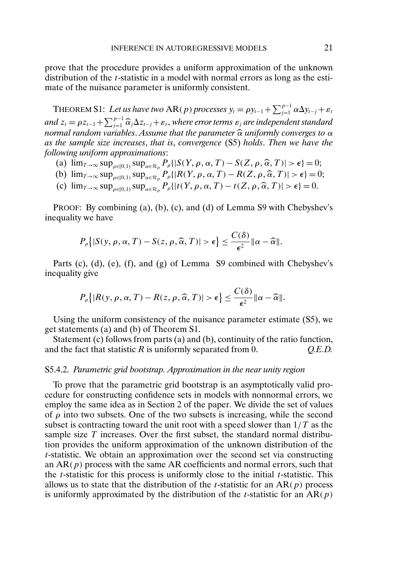prove that the procedure provides a uniform approximation of the unknown distribution of the *t*-statistic in a model with normal errors as long as the estimate of the nuisance parameter is uniformly consistent.

THEOREM S1: Let us have two  $AR(p)$  processes  $y_t = \rho y_{t-1} + \sum_{j=1}^{p-1} \alpha \Delta y_{t-j} + \varepsilon_t$ and  $z_t = \rho z_{t-1} + \sum_{i=1}^{p-1} \widehat{\alpha}_j \Delta z_{t-j} + \varepsilon_t$ , where error terms  $\varepsilon_j$  are independent standard *nd z<sub>t</sub>* = *pz<sub>t-1</sub>* + *Z<sub>j=1</sub>*  $\alpha_j \Delta z_{t-j} + \epsilon_t$ , where error terms  $\epsilon_j$  are independent standard normal random variables. Assume that the parameter  $\hat{\alpha}$  uniformly converges to  $\alpha$  as the sample size increases that *as the sample size increases*, *that is*, *convergence* (S5) *holds*. *Then we have the following uniform approximations*:

- (a)  $\lim_{T \to \infty} \sup_{\rho \in [0,1)} \sup_{\alpha \in \mathcal{R}_{\rho}} P_{\rho} \{ | S(Y, \rho, \alpha, T) S(Z, \rho, \hat{\alpha}, T) | > \epsilon \} = 0;$ <br>
(b)  $\lim_{\alpha \to \infty} \sup_{\alpha \in \mathcal{R}_{\rho}} \sup_{\rho} P_{\rho} \{ | B(Y, \rho, \alpha, T) B(Z, \rho, \hat{\alpha}, T) | > \epsilon \} = 0$
- (b)  $\lim_{T \to \infty} \sup_{\rho \in [0,1)} \sup_{\alpha \in \mathcal{R}_{\rho}} P_{\rho} \{ [R(Y, \rho, \alpha, T) R(Z, \rho, \hat{\alpha}, T)] > \epsilon \} = 0;$ <br>(c)  $\lim_{\alpha \to \infty} \sup_{\alpha \in \mathcal{R}_{\rho}} P_{\rho} \{ [H(Y, \rho, \alpha, T)] + (Z, \rho, \hat{\alpha}, T)] > \epsilon \} = 0$
- (c)  $\lim_{T\to\infty} \sup_{\rho \in [0,1)} \sup_{\alpha \in \mathcal{R}_{\rho}} P_{\rho} \{ |t(Y, \rho, \alpha, T) t(Z, \rho, \widehat{\alpha}, T) | > \epsilon \} = 0.$

PROOF: By combining (a), (b), (c), and (d) of Lemma S9 with Chebyshev's inequality we have

$$
P_{\rho}\big\{|S(y,\rho,\alpha,T)-S(z,\rho,\widehat{\alpha},T)|>\epsilon\big\}\leq \frac{C(\delta)}{\epsilon^2}\|\alpha-\widehat{\alpha}\|.
$$

Parts (c), (d), (e), (f), and (g) of Lemma S9 combined with Chebyshev's inequality give

$$
P_{\rho}\big\{|R(y,\rho,\alpha,T)-R(z,\rho,\widehat{\alpha},T)|>\epsilon\big\}\leq \frac{C(\delta)}{\epsilon^2}\|\alpha-\widehat{\alpha}\|.
$$

Using the uniform consistency of the nuisance parameter estimate (S5), we get statements (a) and (b) of Theorem S1.

Statement (c) follows from parts (a) and (b), continuity of the ratio function, and the fact that statistic R is uniformly separated from 0. *Q.E.D.*

#### S5.4.2. *Parametric grid bootstrap. Approximation in the near unity region*

To prove that the parametric grid bootstrap is an asymptotically valid procedure for constructing confidence sets in models with nonnormal errors, we employ the same idea as in Section 2 of the paper. We divide the set of values of  $\rho$  into two subsets. One of the two subsets is increasing, while the second subset is contracting toward the unit root with a speed slower than  $1/T$  as the sample size  $T$  increases. Over the first subset, the standard normal distribution provides the uniform approximation of the unknown distribution of the t-statistic. We obtain an approximation over the second set via constructing an  $AR(p)$  process with the same AR coefficients and normal errors, such that the  $t$ -statistic for this process is uniformly close to the initial  $t$ -statistic. This allows us to state that the distribution of the *t*-statistic for an  $AR(p)$  process is uniformly approximated by the distribution of the *t*-statistic for an  $AR(p)$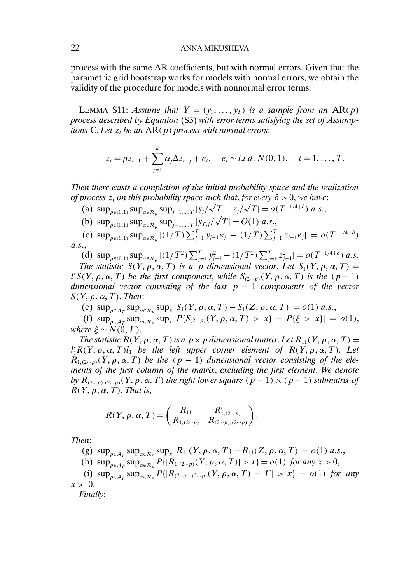## 22 ANNA MIKUSHEVA

process with the same AR coefficients, but with normal errors. Given that the parametric grid bootstrap works for models with normal errors, we obtain the validity of the procedure for models with nonnormal error terms.

LEMMA S11: *Assume that*  $Y = (y_1, \ldots, y_T)$  *is a sample from an*  $AR(p)$ *process described by Equation* (S3) *with error terms satisfying the set of Assumptions* C. Let  $z_t$  *be an*  $AR(p)$  *process with normal errors*:

$$
z_{t} = \rho z_{t-1} + \sum_{j=1}^{k} \alpha_{j} \Delta z_{t-j} + e_{t}, \quad e_{t} \sim i.i.d. N(0,1), \quad t = 1, \ldots, T.
$$

*Then there exists a completion of the initial probability space and the realization of process*  $z_t$  *on this probability space such that, for every*  $\delta > 0$ , we have:

- (a)  $\sup_{\rho \in (0,1)} \sup_{\alpha \in \mathcal{R}_{\rho}} \sup_{j=1,\dots,T} |y_j/\sqrt{T} z_j/\sqrt{T}| = o(T^{-1/4+\delta})$  a.s., √
- (b)  $\sup_{\rho \in (0,1)} \sup_{\alpha \in \mathcal{R}_{\rho}} \sup_{j=1,...,T} |y_{T,j}|$  $|T| = O(1)$  a.s.,

(c)  $\sup_{\rho \in (0,1)} \sup_{\alpha \in \mathcal{R}_{\rho}} |(1/T) \sum_{j=1}^{T} y_{j-1} \varepsilon_j - (1/T) \sum_{j=1}^{T} z_{j-1} e_j | = o(T^{-1/4+\delta})$ a.s.,

(d)  $\sup_{\rho \in (0,1)} \sup_{\alpha \in \mathcal{R}_{\rho}} |(1/T^2) \sum_{j=1}^T y_{j-1}^2 - (1/T^2) \sum_{j=1}^T z_{j-1}^2| = o(T^{-1/4+\delta}) a.s.$ 

*The statistic*  $S(Y, \rho, \alpha, T)$  *is a p dimensional vector. Let*  $S_1(Y, \rho, \alpha, T) =$  $l'_1S(Y, \rho, \alpha, T)$  *be the first component, while*  $S_{(2\cdots p)}(Y, \rho, \alpha, T)$  *is the*  $(p-1)$ *dimensional vector consisting of the last* p − 1 *components of the vector*  $S(Y, \rho, \alpha, T)$ . *Then*:

(e)  $\sup_{\rho \in A_T} \sup_{\alpha \in \mathcal{R}_\rho} \sup_x |S_1(Y, \rho, \alpha, T) - S_1(Z, \rho, \alpha, T)| = o(1) \text{ a.s.},$ 

(f)  $\sup_{\rho \in A_T} \sup_{x \in \mathcal{R}_\rho} \sup_x |P\{S_{(2\cdots p)}(Y, \rho, \alpha, T) > x\} - P\{\xi > x\}| = o(1),$ *where*  $\xi \sim N(0, \Gamma)$ .

*The statistic*  $R(Y, \rho, \alpha, T)$  *is a*  $p \times p$  *dimensional matrix. Let*  $R_{11}(Y, \rho, \alpha, T) =$  $l'_1R(Y, \rho, \alpha, T)l_1$  *be the left upper corner element of*  $R(Y, \rho, \alpha, T)$ . Let  $R_{1,(2...p)}(Y, \rho, \alpha, T)$  *be the*  $(p-1)$  *dimensional vector consisting of the elements of the first column of the matrix*, *excluding the first element*. *We denote by*  $R_{(2\cdots p),(2\cdots p)}(Y, \rho, \alpha, T)$  *the right lower square*  $(p-1) \times (p-1)$  *submatrix of*  $R(Y, \rho, \alpha, T)$ . *That is*,

$$
R(Y, \rho, \alpha, T) = \begin{pmatrix} R_{11} & R'_{1,(2\cdots p)} \\ R_{1,(2\cdots p)} & R_{(2\cdots p),(2\cdots p)} \end{pmatrix}.
$$

*Then*:

(g)  $\sup_{\rho \in A_T} \sup_{\alpha \in \mathcal{R}_\rho} \sup_{x} |R_{11}(Y, \rho, \alpha, T) - R_{11}(Z, \rho, \alpha, T)| = o(1) \text{ a.s.},$ 

(h)  $\sup_{\rho \in \mathcal{A}_T} \sup_{\alpha \in \mathcal{R}_\rho} P\{|R_{1,(2\cdots p)}(Y, \rho, \alpha, T)| > x\} = o(1)$  *for any*  $x > 0$ ,

(i)  $\sup_{\rho \in A_T} \sup_{\alpha \in \mathcal{R}_\rho} P\{|R_{(2-p),(2-p)}(Y,\rho,\alpha,T) - \Gamma| > x\} = o(1)$  for any  $x > 0$ .

*Finally*: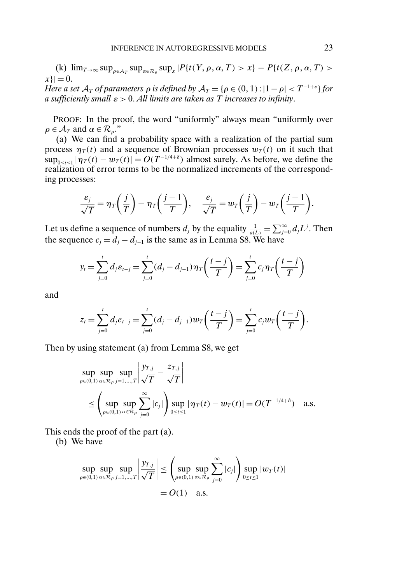(k)  $\lim_{T\to\infty} \sup_{\rho\in\mathcal{A}_T} \sup_{\alpha\in\mathcal{R}_\rho} \sup_{x} |P\{t(Y,\rho,\alpha,T) > x\} - P\{t(Z,\rho,\alpha,T) > x\}|$  $|x| = 0.$ *Here a set*  $A_T$  *of parameters*  $\rho$  *is defined by*  $A_T = {\rho \in (0, 1) : |1 - \rho| < T^{-1+\varepsilon}}$  *for a sufficiently small* ε > 0. *All limits are taken as* T *increases to infinity*.

PROOF: In the proof, the word "uniformly" always mean "uniformly over  $\rho \in \mathcal{A}_T$  and  $\alpha \in \mathcal{R}_\rho$ ."

(a) We can find a probability space with a realization of the partial sum process  $\eta_T(t)$  and a sequence of Brownian processes  $w_T(t)$  on it such that  $\sup_{0 \le t \le 1} |\eta_T(t) - w_T(t)| = O(T^{-1/4+\delta})$  almost surely. As before, we define the realization of error terms to be the normalized increments of the corresponding processes:

$$
\frac{\varepsilon_j}{\sqrt{T}} = \eta_T \bigg( \frac{j}{T} \bigg) - \eta_T \bigg( \frac{j-1}{T} \bigg), \quad \frac{e_j}{\sqrt{T}} = w_T \bigg( \frac{j}{T} \bigg) - w_T \bigg( \frac{j-1}{T} \bigg).
$$

Let us define a sequence of numbers  $d_j$  by the equality  $\frac{1}{a(L)} = \sum_{j=0}^{\infty} d_j L^j$ . Then the sequence  $c_j = d_j - d_{j-1}$  is the same as in Lemma S8. We have

$$
y_t = \sum_{j=0}^t d_j \varepsilon_{t-j} = \sum_{j=0}^t (d_j - d_{j-1}) \eta_T \left( \frac{t-j}{T} \right) = \sum_{j=0}^t c_j \eta_T \left( \frac{t-j}{T} \right)
$$

and

$$
z_{t} = \sum_{j=0}^{t} d_{j} e_{t-j} = \sum_{j=0}^{t} (d_{j} - d_{j-1}) w_{T} \left( \frac{t-j}{T} \right) = \sum_{j=0}^{t} c_{j} w_{T} \left( \frac{t-j}{T} \right).
$$

Then by using statement (a) from Lemma S8, we get

$$
\sup_{\rho \in (0,1)} \sup_{\alpha \in \mathcal{R}_{\rho}} \sup_{j=1,\dots,T} \left| \frac{y_{T,j}}{\sqrt{T}} - \frac{z_{T,j}}{\sqrt{T}} \right|
$$
\n
$$
\leq \left( \sup_{\rho \in (0,1)} \sup_{\alpha \in \mathcal{R}_{\rho}} \sum_{j=0}^{\infty} |c_j| \right) \sup_{0 \leq t \leq 1} |\eta_T(t) - w_T(t)| = O(T^{-1/4+\delta}) \quad \text{a.s.}
$$

This ends the proof of the part (a).

(b) We have

$$
\sup_{\rho \in (0,1)} \sup_{\alpha \in \mathcal{R}_{\rho}} \sup_{j=1,\dots,T} \left| \frac{y_{T,j}}{\sqrt{T}} \right| \leq \left( \sup_{\rho \in (0,1)} \sup_{\alpha \in \mathcal{R}_{\rho}} \sum_{j=0}^{\infty} |c_j| \right) \sup_{0 \leq t \leq 1} |w_T(t)|
$$
  
=  $O(1)$  a.s.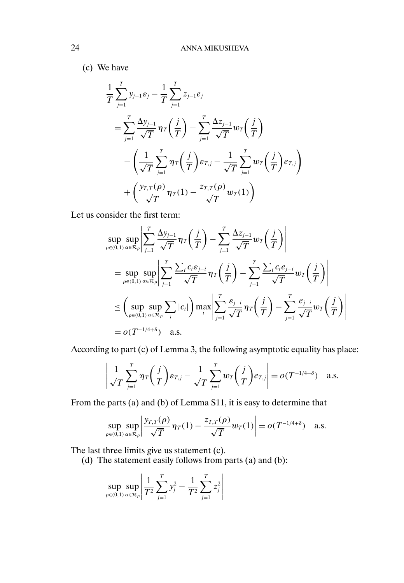(c) We have

$$
\frac{1}{T} \sum_{j=1}^{T} y_{j-1} \varepsilon_j - \frac{1}{T} \sum_{j=1}^{T} z_{j-1} e_j
$$
\n
$$
= \sum_{j=1}^{T} \frac{\Delta y_{j-1}}{\sqrt{T}} \eta_T \left( \frac{j}{T} \right) - \sum_{j=1}^{T} \frac{\Delta z_{j-1}}{\sqrt{T}} w_T \left( \frac{j}{T} \right)
$$
\n
$$
- \left( \frac{1}{\sqrt{T}} \sum_{j=1}^{T} \eta_T \left( \frac{j}{T} \right) \varepsilon_{T,j} - \frac{1}{\sqrt{T}} \sum_{j=1}^{T} w_T \left( \frac{j}{T} \right) e_{T,j} \right)
$$
\n
$$
+ \left( \frac{y_{T,T}(\rho)}{\sqrt{T}} \eta_T(1) - \frac{z_{T,T}(\rho)}{\sqrt{T}} w_T(1) \right)
$$

Let us consider the first term:

$$
\sup_{\rho \in (0,1)} \sup_{\alpha \in \mathcal{R}_{\rho}} \left| \sum_{j=1}^{T} \frac{\Delta y_{j-1}}{\sqrt{T}} \eta_{T} \left( \frac{j}{T} \right) - \sum_{j=1}^{T} \frac{\Delta z_{j-1}}{\sqrt{T}} w_{T} \left( \frac{j}{T} \right) \right|
$$
\n
$$
= \sup_{\rho \in (0,1)} \sup_{\alpha \in \mathcal{R}_{\rho}} \left| \sum_{j=1}^{T} \frac{\sum_{i} c_{i} \varepsilon_{j-i}}{\sqrt{T}} \eta_{T} \left( \frac{j}{T} \right) - \sum_{j=1}^{T} \frac{\sum_{i} c_{i} e_{j-i}}{\sqrt{T}} w_{T} \left( \frac{j}{T} \right) \right|
$$
\n
$$
\leq \left( \sup_{\rho \in (0,1)} \sup_{\alpha \in \mathcal{R}_{\rho}} \sum_{i} |c_{i}| \right) \max_{i} \left| \sum_{j=1}^{T} \frac{\varepsilon_{j-i}}{\sqrt{T}} \eta_{T} \left( \frac{j}{T} \right) - \sum_{j=1}^{T} \frac{e_{j-i}}{\sqrt{T}} w_{T} \left( \frac{j}{T} \right) \right|
$$
\n
$$
= o(T^{-1/4+\delta}) \quad \text{a.s.}
$$

According to part (c) of Lemma 3, the following asymptotic equality has place:

$$
\left|\frac{1}{\sqrt{T}}\sum_{j=1}^T \eta_T\left(\frac{j}{T}\right)\varepsilon_{T,j} - \frac{1}{\sqrt{T}}\sum_{j=1}^T w_T\left(\frac{j}{T}\right)\varepsilon_{T,j}\right| = o(T^{-1/4+\delta}) \quad \text{a.s.}
$$

From the parts (a) and (b) of Lemma S11, it is easy to determine that

$$
\sup_{\rho \in (0,1)} \sup_{\alpha \in \mathcal{R}_{\rho}} \left| \frac{y_{T,T}(\rho)}{\sqrt{T}} \eta_T(1) - \frac{z_{T,T}(\rho)}{\sqrt{T}} w_T(1) \right| = o(T^{-1/4+\delta}) \quad \text{a.s.}
$$

The last three limits give us statement (c).

(d) The statement easily follows from parts (a) and (b):

$$
\sup_{\rho \in (0,1)} \sup_{\alpha \in \mathcal{R}_{\rho}} \left| \frac{1}{T^2} \sum_{j=1}^T y_j^2 - \frac{1}{T^2} \sum_{j=1}^T z_j^2 \right|
$$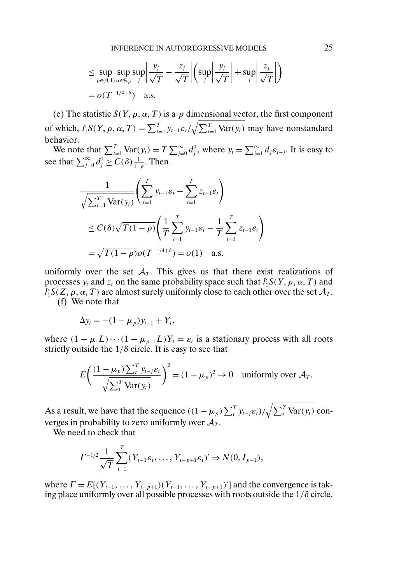$$
\leq \sup_{\rho \in (0,1)} \sup_{\alpha \in \mathcal{R}_{\rho}} \sup_j \left| \frac{y_j}{\sqrt{T}} - \frac{z_j}{\sqrt{T}} \right| \left( \sup_j \left| \frac{y_j}{\sqrt{T}} \right| + \sup_j \left| \frac{z_j}{\sqrt{T}} \right| \right)
$$
  
=  $o(T^{-1/4+\delta})$  a.s.

(e) The statistic  $S(Y, \rho, \alpha, T)$  is a p dimensional vector, the first component of which,  $l'_1 S(Y, \rho, \alpha, T) = \sum_{t=1}^T y_{t-1} \varepsilon_t / \sqrt{\sum_{t=1}^T \text{Var}(y_t)}$  may have nonstandard behavior.

We note that  $\sum_{t=1}^{T} \text{Var}(y_t) = T \sum_{j=0}^{\infty} d_j^2$ , where  $y_t = \sum_{j=1}^{\infty} d_j \varepsilon_{t-j}$ . It is easy to see that  $\sum_{j=0}^{\infty} d_j^2 \ge C(\delta) \frac{1}{1-\rho}$ . Then

$$
\frac{1}{\sqrt{\sum_{t=1}^{T} \text{Var}(y_t)}} \left( \sum_{t=1}^{T} y_{t-1} \varepsilon_t - \sum_{t=1}^{T} z_{t-1} e_t \right)
$$
\n
$$
\leq C(\delta) \sqrt{T(1-\rho)} \left( \frac{1}{T} \sum_{t=1}^{T} y_{t-1} \varepsilon_t - \frac{1}{T} \sum_{t=1}^{T} z_{t-1} e_t \right)
$$
\n
$$
= \sqrt{T(1-\rho)} o(T^{-1/4+\delta}) = o(1) \quad \text{a.s.}
$$

uniformly over the set  $A_T$ . This gives us that there exist realizations of processes  $y_t$  and  $z_t$  on the same probability space such that  $l'_1S(Y, \rho, \alpha, T)$  and  $l'_1S(Z, \rho, \alpha, T)$  are almost surely uniformly close to each other over the set  $\mathcal{A}_T$ . (f) We note that

$$
\Delta y_t = -(1 - \mu_p) y_{t-1} + Y_t,
$$

where  $(1 - \mu_1 L) \cdots (1 - \mu_{p-1} L) Y_t = \varepsilon_t$  is a stationary process with all roots strictly outside the  $1/\delta$  circle. It is easy to see that

$$
E\left(\frac{(1-\mu_p)\sum_t^T y_{t-j}\varepsilon_t}{\sqrt{\sum_t^T \text{Var}(y_t)}}\right)^2 = (1-\mu_p)^2 \to 0 \quad \text{uniformly over } \mathcal{A}_T.
$$

As a result, we have that the sequence  $((1 - \mu_p) \sum_{t}^{T} y_{t-j} \varepsilon_t) / \sqrt{\sum_{t}^{T} \text{Var}(y_t)}$  converges in probability to zero uniformly over  $A_T$ .

We need to check that

$$
\Gamma^{-1/2} \frac{1}{\sqrt{T}} \sum_{t=1}^{T} (Y_{t-1} \varepsilon_t, \dots, Y_{t-p+1} \varepsilon_t)' \Rightarrow N(0, I_{p-1}),
$$

where  $\Gamma = E[(Y_{t-1},..., Y_{t-p+1})(Y_{t-1},..., Y_{t-p+1})']$  and the convergence is taking place uniformly over all possible processes with roots outside the  $1/\delta$  circle.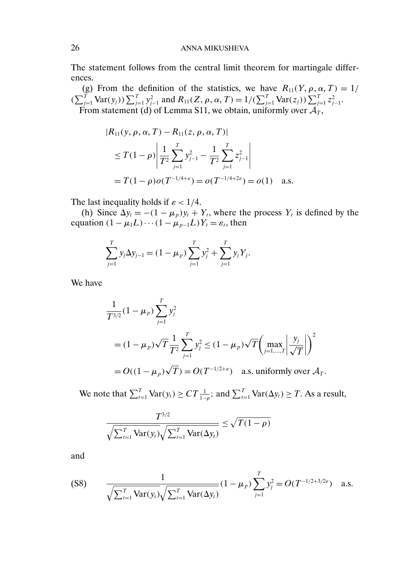The statement follows from the central limit theorem for martingale differences.

(g) From the definition of the statistics, we have  $R_{11}(Y, \rho, \alpha, T) = 1/$  $(\sum_{j=1}^T \text{Var}(y_j)) \sum_{j=1}^T y_{j-1}^2$  and  $R_{11}(Z, \rho, \alpha, T) = 1/(\sum_{j=1}^T \text{Var}(z_j)) \sum_{j=1}^T z_{j-1}^2$ . From statement (d) of Lemma S11, we obtain, uniformly over  $\mathcal{A}_T$ ,

$$
|R_{11}(y, \rho, \alpha, T) - R_{11}(z, \rho, \alpha, T)|
$$
  
\n
$$
\leq T(1 - \rho) \left| \frac{1}{T^2} \sum_{j=1}^T y_{j-1}^2 - \frac{1}{T^2} \sum_{j=1}^T z_{j-1}^2 \right|
$$
  
\n
$$
= T(1 - \rho) o(T^{-1/4 + \varepsilon}) = o(T^{-1/4 + 2\varepsilon}) = o(1) \quad \text{a.s.}
$$

The last inequality holds if  $\varepsilon$  < 1/4.

(h) Since  $\Delta y_t = -(1 - \mu_p)y_t + Y_t$ , where the process  $Y_t$  is defined by the equation  $(1 - \mu_1 L) \cdots (1 - \mu_{p-1} L) Y_t = \varepsilon_t$ , then

$$
\sum_{j=1}^{T} y_j \Delta y_{j-1} = (1 - \mu_p) \sum_{j=1}^{T} y_j^2 + \sum_{j=1}^{T} y_j Y_j.
$$

We have

$$
\frac{1}{T^{3/2}}(1 - \mu_p) \sum_{j=1}^T y_j^2
$$
  
=  $(1 - \mu_p)\sqrt{T} \frac{1}{T^2} \sum_{j=1}^T y_j^2 \le (1 - \mu_p)\sqrt{T} \left( \max_{j=1,\dots,T} \left| \frac{y_j}{\sqrt{T}} \right| \right)^2$   
=  $O((1 - \mu_p)\sqrt{T}) = O(T^{-1/2 + \varepsilon})$  a.s. uniformly over  $\mathcal{A}_T$ .

We note that  $\sum_{t=1}^{T} \text{Var}(y_t) \ge CT \frac{1}{1-\rho}$ ; and  $\sum_{t=1}^{T} \text{Var}(\Delta y_t) \ge T$ . As a result,

$$
\frac{T^{3/2}}{\sqrt{\sum_{t=1}^{T} \text{Var}(y_t)} \sqrt{\sum_{t=1}^{T} \text{Var}(\Delta y_t)}} \leq \sqrt{T(1-\rho)}
$$

and

$$
\text{(S8)} \qquad \frac{1}{\sqrt{\sum_{t=1}^{T} \text{Var}(y_t)} \sqrt{\sum_{t=1}^{T} \text{Var}(\Delta y_t)}} (1 - \mu_p) \sum_{j=1}^{T} y_j^2 = O(T^{-1/2 + 3/2\varepsilon}) \quad \text{a.s.}
$$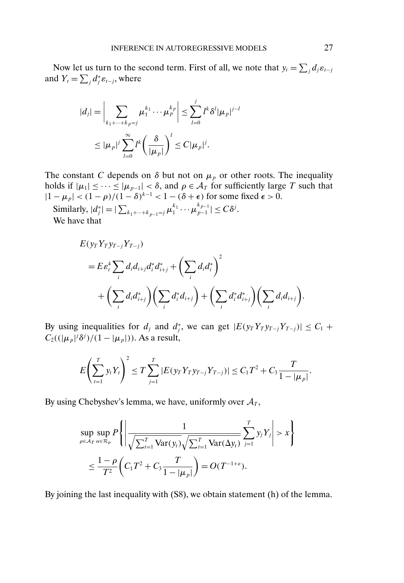Now let us turn to the second term. First of all, we note that  $y_t = \sum_j d_j \varepsilon_{t-j}$ and  $Y_t = \sum_j d_j^* \varepsilon_{t-j}$ , where

$$
|d_j| = \left| \sum_{k_1 + \dots + k_p = j} \mu_1^{k_1} \cdots \mu_p^{k_p} \right| \leq \sum_{l=0}^j l^k \delta^l |\mu_p|^{j-l}
$$
  

$$
\leq |\mu_p|^j \sum_{l=0}^\infty l^k \left( \frac{\delta}{|\mu_p|} \right)^l \leq C |\mu_p|^j.
$$

The constant C depends on  $\delta$  but not on  $\mu_p$  or other roots. The inequality holds if  $|\mu_1| \leq \cdots \leq |\mu_{p-1}| < \delta$ , and  $\rho \in \mathcal{A}_T$  for sufficiently large T such that  $|1 - \mu_p| < (1 - \rho)/(1 - \delta)^{k-1} < 1 - (\delta + \epsilon)$  for some fixed  $\epsilon > 0$ .

Similarly,  $|d_j^*| = |\sum_{k_1+\cdots+k_{p-1}=j} \mu_1^{k_1} \cdots \mu_{p-1}^{k_{p-1}}| \leq C \delta^j$ . We have that

$$
E(y_T Y_T y_{T-j} Y_{T-j})
$$
  
=  $E \varepsilon_t^4 \sum_i d_i d_{i+j} d_i^* d_{i+j}^* + \left(\sum_i d_i d_i^*\right)^2$   
+  $\left(\sum_i d_i d_{i+j}^*\right) \left(\sum_i d_i^* d_{i+j}\right) + \left(\sum_i d_i^* d_{i+j}^*\right) \left(\sum_i d_i d_{i+j}\right).$ 

By using inequalities for  $d_j$  and  $d_j^*$ , we can get  $|E(y_T Y_T y_{T-j} Y_{T-j})| \leq C_1 + C_2$  $C_2((|\mu_p|^j \delta^j)/(1-|\mu_p|))$ . As a result,

$$
E\left(\sum_{t=1}^T y_t Y_t\right)^2 \leq T \sum_{j=1}^T |E(y_T Y_T y_{T-j} Y_{T-j})| \leq C_1 T^2 + C_3 \frac{T}{1-|\mu_p|}.
$$

By using Chebyshev's lemma, we have, uniformly over  $A_T$ ,

$$
\sup_{\rho \in A_T} \sup_{\alpha \in \mathcal{R}_{\rho}} P\left\{ \left| \frac{1}{\sqrt{\sum_{t=1}^T \text{Var}(y_t)} \sqrt{\sum_{t=1}^T \text{Var}(\Delta y_t)}} \sum_{j=1}^T y_j Y_j \right| > x \right\}
$$
  

$$
\leq \frac{1 - \rho}{T^2} \left( C_1 T^2 + C_3 \frac{T}{1 - |\mu_p|} \right) = O(T^{-1+\epsilon}).
$$

By joining the last inequality with (S8), we obtain statement (h) of the lemma.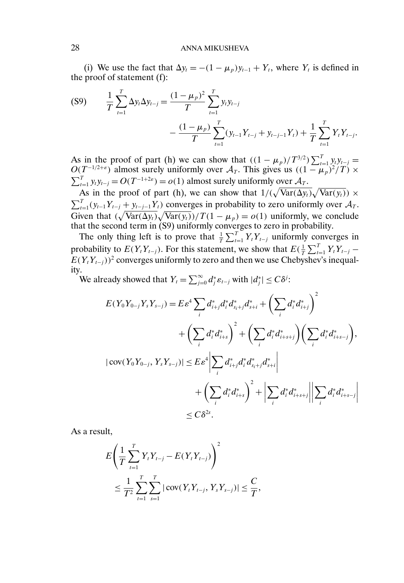(i) We use the fact that  $\Delta y_t = -(1 - \mu_p)y_{t-1} + Y_t$ , where  $Y_t$  is defined in the proof of statement (f):

$$
(S9) \qquad \frac{1}{T} \sum_{t=1}^{T} \Delta y_t \Delta y_{t-j} = \frac{(1 - \mu_p)^2}{T} \sum_{t=1}^{T} y_t y_{t-j} - \frac{(1 - \mu_p)}{T} \sum_{t=1}^{T} (y_{t-1} Y_{t-j} + y_{t-j-1} Y_t) + \frac{1}{T} \sum_{t=1}^{T} Y_t Y_{t-j}.
$$

As in the proof of part (h) we can show that  $((1 - \mu_p)/T^{3/2})\sum_{t=1}^{T} y_t y_{t-j} =$  $O(T^{-1/2+\epsilon})$  almost surely uniformly over  $\mathcal{A}_T$ . This gives us  $((1 - \mu_p)^2/T) \times$  $\sum_{t=1}^{T} y_t y_{t-j} = O(T^{-1+2\varepsilon}) = o(1)$  almost surely uniformly over  $\mathcal{A}_T$ .

As in the proof of part (h), we can show that  $1/(\sqrt{\text{Var}(\Delta y_t)}\sqrt{\text{Var}(y_t)}) \times$  $\sum_{t=1}^{T} (y_{t-1}Y_{t-j} + y_{t-j-1}Y_t)$  converges in probability to zero uniformly over  $A_T$ . Given that  $(\sqrt{\text{Var}(\Delta y_t)}\sqrt{\text{Var}(y_t)})/T(1-\mu_p) = o(1)$  uniformly, we conclude that the second term in (S9) uniformly converges to zero in probability.

The only thing left is to prove that  $\frac{1}{T} \sum_{t=1}^{T} Y_t Y_{t-j}$  uniformly converges in probability to  $E(Y_t Y_{t-j})$ . For this statement, we show that  $E(\frac{1}{T} \sum_{t=1}^T Y_t Y_{t-j} E(Y_tY_{t-j})^2$  converges uniformly to zero and then we use Chebyshev's inequality.

We already showed that  $Y_t = \sum_{j=0}^{\infty} d_j^* \varepsilon_{t-j}$  with  $|d_j^*| \leq C\delta^j$ :

$$
E(Y_0Y_{0-j}Y_sY_{s-j}) = E\varepsilon^4 \sum_i d_{i+j}^* d_i^* d_{s_i+j}^* d_{s+i}^* + \left(\sum_i d_i^* d_{i+j}^*\right)^2
$$
  
+  $\left(\sum_i d_i^* d_{i+s}^*\right)^2 + \left(\sum_i d_i^* d_{i+s+j}^*\right) \left(\sum_i d_i^* d_{i+s-j}^*\right),$   

$$
|\text{cov}(Y_0Y_{0-j}, Y_sY_{s-j})| \le E\varepsilon^4 \left|\sum_i d_{i+j}^* d_i^* d_{s_i+j}^* d_{s+i}^*\right|
$$
  
+  $\left(\sum_i d_i^* d_{i+s}^*\right)^2 + \left|\sum_i d_i^* d_{i+s+j}^*\right| \left|\sum_i d_i^* d_{i+s-j}^*\right|$   
 $\le C\delta^{2s}.$ 

As a result,

$$
E\left(\frac{1}{T}\sum_{t=1}^T Y_t Y_{t-j} - E(Y_t Y_{t-j})\right)^2
$$
  

$$
\leq \frac{1}{T^2}\sum_{t=1}^T \sum_{s=1}^T |\text{cov}(Y_t Y_{t-j}, Y_s Y_{s-j})| \leq \frac{C}{T},
$$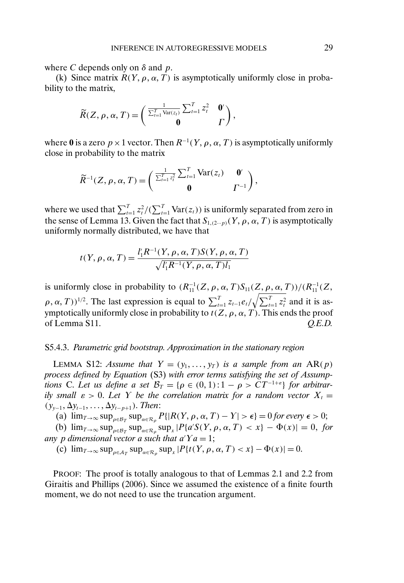where C depends only on  $\delta$  and  $p$ .

(k) Since matrix  $R(Y, \rho, \alpha, T)$  is asymptotically uniformly close in probability to the matrix,

$$
\widetilde{R}(Z,\rho,\alpha,T)=\begin{pmatrix} \frac{1}{\sum_{t=1}^{T}\text{Var}(z_t)}\sum_{t=1}^{T}z_t^2 & \mathbf{0}^{\prime}\\ \mathbf{0} & \Gamma \end{pmatrix},
$$

where 0 is a zero  $p \times 1$  vector. Then  $R^{-1}(Y, \rho, \alpha, T)$  is asymptotically uniformly close in probability to the matrix

$$
\widetilde{R}^{-1}(Z,\rho,\alpha,T)=\begin{pmatrix} \frac{1}{\sum_{t=1}^{T}z_t^2}\sum_{t=1}^{T}\text{Var}(z_t) & \mathbf{0}^t\\ \mathbf{0} & \Gamma^{-1} \end{pmatrix},
$$

where we used that  $\sum_{t=1}^{T} z_t^2 / (\sum_{t=1}^{T} \text{Var}(z_t))$  is uniformly separated from zero in the sense of Lemma 13. Given the fact that  $S_{1,(2\cdots p)}(Y, \rho, \alpha, T)$  is asymptotically uniformly normally distributed, we have that

$$
t(Y, \rho, \alpha, T) = \frac{l'_1 R^{-1}(Y, \rho, \alpha, T) S(Y, \rho, \alpha, T)}{\sqrt{l'_1 R^{-1}(Y, \rho, \alpha, T) l_1}}
$$

is uniformly close in probability to  $(R_{11}^{-1}(Z, \rho, \alpha, T)S_{11}(Z, \rho, \alpha, T))/(R_{11}^{-1}(Z, \rho, \alpha, T))$  $(\rho, \alpha, T))^{1/2}$ . The last expression is equal to  $\sum_{t=1}^{T} z_{t-1} e_t / \sqrt{\sum_{t=1}^{T} z_t^2}$  and it is asymptotically uniformly close in probability to  $t(Z, \rho, \alpha, T)$ . This ends the proof of Lemma S11. *Q.E.D.*

### S5.4.3. *Parametric grid bootstrap. Approximation in the stationary region*

LEMMA S12: *Assume that*  $Y = (y_1, \ldots, y_T)$  *is a sample from an*  $AR(p)$ *process defined by Equation* (S3) *with error terms satisfying the set of Assumptions* C. Let us define a set  $\mathcal{B}_T = \{ \rho \in (0,1) : 1 - \rho > CT^{-1+\epsilon} \}$  for arbitrar*ily small*  $\varepsilon > 0$ . Let Y be the correlation matrix for a random vector  $X_t =$  $(y_{y-1}, \Delta y_{t-1}, \ldots, \Delta y_{t-p+1})$ . *Then*:

(a)  $\lim_{T\to\infty} \sup_{\rho \in \mathcal{B}_T} \sup_{\alpha \in \mathcal{R}_\rho} P\{|R(Y, \rho, \alpha, T) - Y| > \epsilon\} = 0$  for every  $\epsilon > 0$ ;

(b)  $\lim_{T\to\infty} \sup_{\rho \in \mathcal{B}_T} \sup_{\alpha \in \mathcal{R}_\rho} \sup_x |P\{\alpha' S(Y, \rho, \alpha, T) < x\} - \Phi(x)| = 0$ , for any p dimensional vector a such that  $a'Ya = 1;$ 

(c)  $\lim_{T\to\infty} \sup_{\rho \in A_T} \sup_{\alpha \in \mathcal{R}_\rho} \sup_x |P\{t(Y, \rho, \alpha, T) < x\} - \Phi(x)| = 0.$ 

PROOF: The proof is totally analogous to that of Lemmas 2.1 and 2.2 from Giraitis and Phillips (2006). Since we assumed the existence of a finite fourth moment, we do not need to use the truncation argument.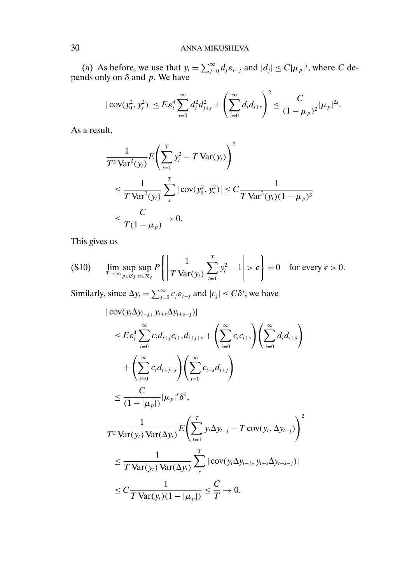(a) As before, we use that  $y_t = \sum_{j=0}^{\infty} d_j \varepsilon_{t-j}$  and  $|d_j| \le C |\mu_p|^j$ , where C depends only on  $\delta$  and  $p$ . We have

$$
|\text{cov}(y_0^2, y_s^2)| \le E \varepsilon_t^4 \sum_{i=0}^{\infty} d_i^2 d_{i+s}^2 + \left(\sum_{i=0}^{\infty} d_i d_{i+s}\right)^2 \le \frac{C}{(1-\mu_p)^2} |\mu_p|^{2s}.
$$

As a result,

$$
\frac{1}{T^2 \text{Var}^2(y_t)} E\left(\sum_{t=1}^T y_t^2 - T \text{Var}(y_t)\right)^2
$$
\n
$$
\leq \frac{1}{T \text{Var}^2(y_t)} \sum_{s}^T |\text{cov}(y_0^2, y_s^2)| \leq C \frac{1}{T \text{Var}^2(y_t)(1 - \mu_p)^3}
$$
\n
$$
\leq \frac{C}{T(1 - \mu_p)} \to 0.
$$

This gives us

$$
(S10) \qquad \lim_{T\to\infty}\sup_{\rho\in\mathcal{B}_T}\sup_{\alpha\in\mathcal{R}_{\rho}}P\left\{\left|\frac{1}{T\operatorname{Var}(y_t)}\sum_{t=1}^T y_t^2 - 1\right| > \epsilon\right\} = 0 \quad \text{for every } \epsilon > 0.
$$

Similarly, since  $\Delta y_t = \sum_{j=0}^{\infty} c_j \varepsilon_{t-j}$  and  $|c_j| \leq C\delta^j$ , we have

$$
|\operatorname{cov}(y_{t}\Delta y_{t-j}, y_{t+s}\Delta y_{t+s-j})|
$$
\n
$$
\leq E\varepsilon_{t}^{4}\sum_{i=0}^{\infty}c_{i}d_{i+j}c_{i+s}d_{i+j+s} + \left(\sum_{i=0}^{\infty}c_{i}c_{i+s}\right)\left(\sum_{i=0}^{\infty}d_{i}d_{i+s}\right)
$$
\n
$$
+\left(\sum_{i=0}^{\infty}c_{i}d_{i+j+s}\right)\left(\sum_{i=0}^{\infty}c_{i+s}d_{i+j}\right)
$$
\n
$$
\leq \frac{C}{(1-|\mu_{p}|)}|\mu_{p}|^{s}\delta^{s},
$$
\n
$$
\frac{1}{T^{2}\text{Var}(y_{t})\text{Var}(\Delta y_{t})}E\left(\sum_{t=1}^{T}y_{t}\Delta y_{t-j} - T\operatorname{cov}(y_{t}, \Delta y_{t-j})\right)^{2}
$$
\n
$$
\leq \frac{1}{T\text{Var}(y_{t})\text{Var}(\Delta y_{t})}\sum_{s}^{T}|\operatorname{cov}(y_{t}\Delta y_{t-j}, y_{t+s}\Delta y_{t+s-j})|
$$
\n
$$
\leq C\frac{1}{T\text{Var}(y_{t})(1-|\mu_{p}|)} \leq \frac{C}{T} \to 0.
$$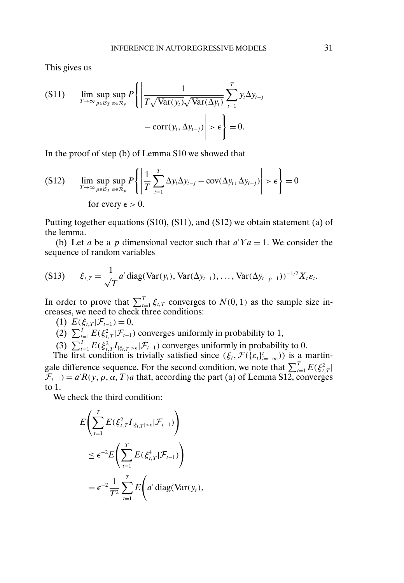This gives us

$$
\begin{aligned} \text{(S11)} \qquad & \lim_{T \to \infty} \sup_{\rho \in \mathcal{B}_T} \sup_{\alpha \in \mathcal{R}_{\rho}} P \left\{ \left| \frac{1}{T \sqrt{\text{Var}(y_i)} \sqrt{\text{Var}(\Delta y_t)}} \sum_{t=1}^T y_t \Delta y_{t-j} \right| \\ &\quad - \text{corr}(y_t, \Delta y_{t-j}) \right| > \epsilon \right\} = 0. \end{aligned}
$$

In the proof of step (b) of Lemma S10 we showed that

$$
\text{(S12)} \qquad \lim_{T \to \infty} \sup_{\rho \in \mathcal{B}_T} \sup_{\alpha \in \mathcal{R}_{\rho}} P\left\{ \left| \frac{1}{T} \sum_{t=1}^T \Delta y_t \Delta y_{t-j} - \text{cov}(\Delta y_t, \Delta y_{t-j}) \right| > \epsilon \right\} = 0
$$
\n
$$
\text{for every } \epsilon > 0.
$$

Putting together equations (S10), (S11), and (S12) we obtain statement (a) of the lemma.

(b) Let a be a p dimensional vector such that  $a'Ya = 1$ . We consider the sequence of random variables

$$
(S13) \qquad \xi_{t,T} = \frac{1}{\sqrt{T}}a' \operatorname{diag}(\operatorname{Var}(y_t), \operatorname{Var}(\Delta y_{t-1}), \ldots, \operatorname{Var}(\Delta y_{t-p+1}))^{-1/2}X_t\varepsilon_t.
$$

In order to prove that  $\sum_{t=1}^{T} \xi_{t,T}$  converges to  $N(0, 1)$  as the sample size increases, we need to check three conditions:

- (1)  $E(\xi_{t,T}|\mathcal{F}_{t-1}) = 0$ ,
- (2)  $\sum_{t=1}^{T} E(\xi_{t,T}^2 | \mathcal{F}_{t-1})$  converges uniformly in probability to 1,
- (3)  $\sum_{t=1}^{T} E(\xi_{t,T}^2 I_{|\xi_{t,T}| > \epsilon} | \mathcal{F}_{t-1})$  converges uniformly in probability to 0.

The first condition is trivially satisfied since  $(\xi_t, \mathcal{F}(\{\varepsilon_i\}_{i=-\infty}^t))$  is a martingale difference sequence. For the second condition, we note that  $\sum_{t=1}^{T} E(\xi_{t,T}^2 |$  $\mathcal{F}_{t-1}$ ) = a'R(y,  $\rho$ ,  $\alpha$ , T) a that, according the part (a) of Lemma S12, converges to 1.

We check the third condition:

$$
E\left(\sum_{t=1}^T E(\xi_{t,T}^2 I_{|\xi_{t,T}|>\epsilon}|\mathcal{F}_{t-1})\right)
$$
  
\n
$$
\leq \epsilon^{-2} E\left(\sum_{t=1}^T E(\xi_{t,T}^4|\mathcal{F}_{t-1})\right)
$$
  
\n
$$
= \epsilon^{-2} \frac{1}{T^2} \sum_{t=1}^T E\left(a'\operatorname{diag}(\operatorname{Var}(y_t)),\right)
$$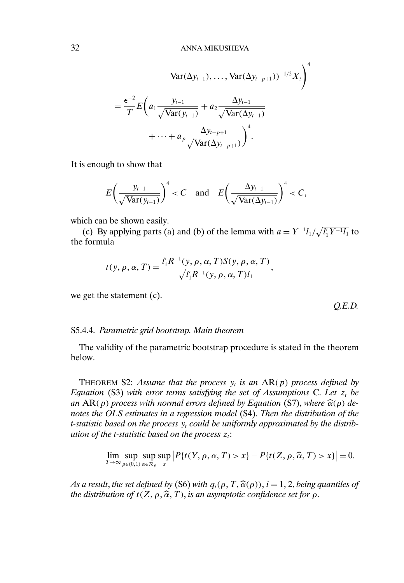$$
\operatorname{Var}(\Delta y_{t-1}), \dots, \operatorname{Var}(\Delta y_{t-p+1}))^{-1/2} X_t \bigg)^4
$$
  
= 
$$
\frac{\epsilon^{-2}}{T} E\left(a_1 \frac{y_{t-1}}{\sqrt{\operatorname{Var}(y_{t-1})}} + a_2 \frac{\Delta y_{t-1}}{\sqrt{\operatorname{Var}(\Delta y_{t-1})}} + \dots + a_p \frac{\Delta y_{t-p+1}}{\sqrt{\operatorname{Var}(\Delta y_{t-p+1})}}\right)^4.
$$

It is enough to show that

$$
E\left(\frac{y_{t-1}}{\sqrt{\text{Var}(y_{t-1})}}\right)^4 < C \quad \text{and} \quad E\left(\frac{\Delta y_{t-1}}{\sqrt{\text{Var}(\Delta y_{t-1})}}\right)^4 < C,
$$

which can be shown easily.

(c) By applying parts (a) and (b) of the lemma with  $a = Y^{-1}l_1/\sqrt{l'_1Y^{-1}l_1}$  to the formula

$$
t(y, \rho, \alpha, T) = \frac{l'_1 R^{-1}(y, \rho, \alpha, T) S(y, \rho, \alpha, T)}{\sqrt{l'_1 R^{-1}(y, \rho, \alpha, T)l_1}},
$$

we get the statement (c).

S5.4.4. *Parametric grid bootstrap. Main theorem*

The validity of the parametric bootstrap procedure is stated in the theorem below.

THEOREM S2: Assume that the process  $y_t$  *is an* AR(p) process defined by *Equation* (S3) with error terms satisfying the set of Assumptions C. Let  $z_t$  *be an* AR(p) process with normal errors defined by Equation (S7), where  $\widehat{\alpha}(\rho)$  de-<br>potes the OLS estimates in a regression model (S4). Then the distribution of the *notes the OLS estimates in a regression model* (S4). *Then the distribution of the t*-statistic based on the process  $y_t$  could be uniformly approximated by the distrib*ution of the t-statistic based on the process*  $z_t$ :

$$
\lim_{T\to\infty}\sup_{\rho\in(0,1)}\sup_{\alpha\in\mathcal{R}_{\rho}}\sup_{x}|P\{t(Y,\rho,\alpha,T)>x\}-P\{t(Z,\rho,\widehat{\alpha},T)>x\}|=0.
$$

*As a result, the set defined by* (S6) *with*  $q_i(\rho, T, \hat{\alpha}(\rho))$ ,  $i = 1, 2$ , *being quantiles of*<br>*the distribution of t*( $Z, \alpha, \hat{\alpha}$ ,  $T$ ) is an asymptotic confidence set for  $\alpha$ *the distribution of t*( $Z$ ,  $\rho$ ,  $\widehat{\alpha}$ ,  $T$ ), *is an asymptotic confidence set for*  $\rho$ .

*Q.E.D.*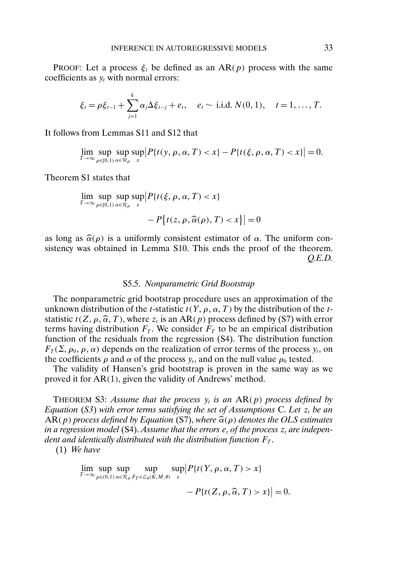PROOF: Let a process  $\xi_t$  be defined as an AR(p) process with the same coefficients as  $y_t$  with normal errors:

$$
\xi_t = \rho \xi_{t-1} + \sum_{j=1}^k \alpha_j \Delta \xi_{t-j} + e_t, \quad e_t \sim \text{ i.i.d. } N(0, 1), \quad t = 1, ..., T.
$$

It follows from Lemmas S11 and S12 that

 $\lim_{T\to\infty} \sup_{\rho\in[0,1)}$ sup α∈R<sup>ρ</sup>  $\sup_{x}$  $|P\{t(y, \rho, \alpha, T) < x\} - P\{t(\xi, \rho, \alpha, T) < x\}| = 0.$ 

Theorem S1 states that

$$
\lim_{T \to \infty} \sup_{\rho \in [0,1)} \sup_{\alpha \in \mathcal{R}_{\rho}} \sup_{x} \left| P\{ t(\xi, \rho, \alpha, T) < x \} - P\{ t(z, \rho, \widehat{\alpha}(\rho), T) < x \} \right| = 0
$$

as long as  $\hat{\alpha}(\rho)$  is a uniformly consistent estimator of  $\alpha$ . The uniform con-<br>sistency was obtained in Lemma S10. This ends the proof of the theorem sistency was obtained in Lemma S10. This ends the proof of the theorem. *Q.E.D.*

#### S5.5. *Nonparametric Grid Bootstrap*

The nonparametric grid bootstrap procedure uses an approximation of the unknown distribution of the t-statistic  $t(Y, \rho, \alpha, T)$  by the distribution of the tstatistic  $t(Z, \rho, \hat{\alpha}, T)$ , where  $z_t$  is an AR(p) process defined by (S7) with error<br>terms having distribution  $F_{\pi}$ . We consider  $F_{\pi}$  to be an empirical distribution terms having distribution  $F_T$ . We consider  $F_T$  to be an empirical distribution function of the residuals from the regression (S4). The distribution function  $F_T(\Sigma, \rho_0, \rho, \alpha)$  depends on the realization of error terms of the process  $y_t$ , on the coefficients  $\rho$  and  $\alpha$  of the process  $y_t$ , and on the null value  $\rho_0$  tested.

The validity of Hansen's grid bootstrap is proven in the same way as we proved it for AR(1), given the validity of Andrews' method.

THEOREM S3: Assume that the process  $y_t$  is an  $AR(p)$  process defined by *Equation* (*S3*) with error terms satisfying the set of Assumptions C. Let  $z_t$  be an  $AR(p)$  process defined by Equation (S7), where  $\widehat{\alpha}(\rho)$  denotes the OLS estimates<br>in a regression model (S4). Assume that the errors e, of the process z, are indepenin a regression model (S4). Assume that the errors  $e_t$  of the process  $z_t$  are indepen*dent and identically distributed with the distribution function*  $F_T$ .

(1) *We have*

$$
\lim_{T \to \infty} \sup_{\rho \in (0,1)} \sup_{\alpha \in \mathcal{R}_{\rho}} \sup_{F_T \in \mathcal{L}_4(K,M,\theta)} \sup_x \left| P\{t(Y,\rho,\alpha,T) > x\} - P\{t(Z,\rho,\widehat{\alpha},T) > x\} \right| = 0.
$$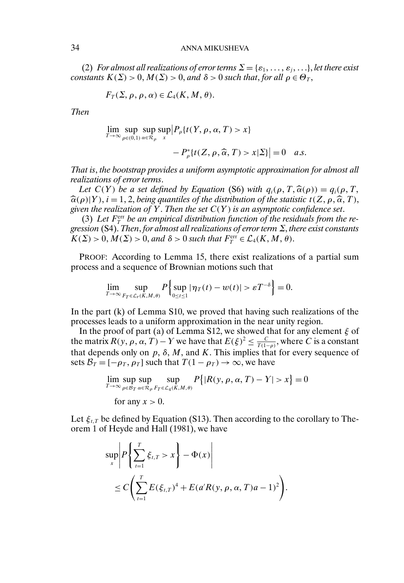(2) *For almost all realizations of error terms*  $\Sigma = {\varepsilon_1, \ldots, \varepsilon_j, \ldots}$ , *let there exist constants*  $K(\Sigma) > 0$ ,  $M(\Sigma) > 0$ , and  $\delta > 0$  *such that, for all*  $\rho \in \Theta_T$ ,

$$
F_T(\Sigma, \rho, \rho, \alpha) \in \mathcal{L}_4(K, M, \theta).
$$

*Then*

$$
\lim_{T \to \infty} \sup_{\rho \in (0,1)} \sup_{\alpha \in \mathcal{R}_{\rho}} \sup_{x} |P_{\rho} \{ t(Y, \rho, \alpha, T) > x \}
$$

$$
-P_{\rho}^*[t(Z,\rho,\widehat{\alpha},T)>x|\Sigma]|=0 \quad a.s.
$$

*That is*, *the bootstrap provides a uniform asymptotic approximation for almost all realizations of error terms*.

*Let*  $C(Y)$  *be a set defined by Equation* (S6) *with*  $q_i(\rho, T, \hat{\alpha}(\rho)) = q_i(\rho, T, \alpha)$ <br>(a)|Y)  $i = 1, 2$  *being quantiles of the distribution of the statistic t(Z,*  $\alpha \hat{\alpha}$  *T)* -*given the realization of* Y. *Then the set* C(Y ) *is an asymptotic confidence set*.  $\widehat{\alpha}(\rho)|Y$ ,  $i = 1, 2$ , being quantiles of the distribution of the statistic  $t(Z, \rho, \widehat{\alpha}, T)$ , over the realization of Y. Then the set  $C(Y)$  is an asymptotic confidence set

 $(3)$  Let  $F_T^{\text{err}}$  be an empirical distribution function of the residuals from the re*gression* (S4). *Then*, *for almost all realizations of error term* Σ, *there exist constants*  $K(\Sigma) > 0, M(\Sigma) > 0,$  and  $\delta > 0$  such that  $F_T^{\text{err}} \in \mathcal{L}_4(K, M, \theta)$ .

PROOF: According to Lemma 15, there exist realizations of a partial sum process and a sequence of Brownian motions such that

$$
\lim_{T\to\infty}\sup_{F_T\in\mathcal{L}_r(K,M,\theta)}P\Big\{\sup_{0\leq t\leq 1}|\eta_T(t)-w(t)|>\varepsilon T^{-\delta}\Big\}=0.
$$

In the part (k) of Lemma S10, we proved that having such realizations of the processes leads to a uniform approximation in the near unity region.

In the proof of part (a) of Lemma S12, we showed that for any element  $\xi$  of the matrix  $R(y, \rho, \alpha, T) - Y$  we have that  $E(\xi)^2 \leq \frac{C}{T(1-\rho)}$ , where C is a constant that depends only on  $p$ ,  $\delta$ ,  $M$ , and  $K$ . This implies that for every sequence of sets  $\mathcal{B}_T = [-\rho_T, \rho_T]$  such that  $T(1 - \rho_T) \to \infty$ , we have

$$
\lim_{T \to \infty} \sup_{\rho \in \mathcal{B}_T} \sup_{\alpha \in \mathcal{R}_\rho} \sup_{F_T \in \mathcal{L}_4(K,M,\theta)} P\{|R(y,\rho,\alpha,T) - Y| > x\} = 0
$$
  
for any  $x > 0$ .

Let  $\xi_{t,T}$  be defined by Equation (S13). Then according to the corollary to Theorem 1 of Heyde and Hall (1981), we have

$$
\sup_{x} \left| P \left\{ \sum_{t=1}^{T} \xi_{t,T} > x \right\} - \Phi(x) \right|
$$
  
\n
$$
\leq C \left( \sum_{t=1}^{T} E(\xi_{t,T})^4 + E(a'R(y, \rho, \alpha, T) a - 1)^2 \right).
$$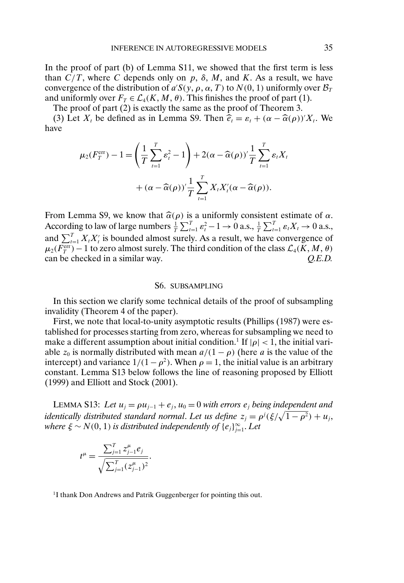In the proof of part (b) of Lemma S11, we showed that the first term is less than  $C/T$ , where C depends only on p,  $\delta$ , M, and K. As a result, we have convergence of the distribution of  $a'S(y, \rho, \alpha, T)$  to  $N(0, 1)$  uniformly over  $\mathcal{B}_T$ and uniformly over  $F_T \in \mathcal{L}_4(K, M, \theta)$ . This finishes the proof of part (1).

The proof of part (2) is exactly the same as the proof of Theorem 3.

(3) Let  $X_t$  be defined as in Lemma S9. Then  $\hat{e}_t = \varepsilon_t + (\alpha - \hat{\alpha}(\rho))'X_t$ . We have

$$
\mu_2(F_T^{\text{err}}) - 1 = \left(\frac{1}{T} \sum_{t=1}^T \varepsilon_t^2 - 1\right) + 2(\alpha - \widehat{\alpha}(\rho))' \frac{1}{T} \sum_{t=1}^T \varepsilon_t X_t
$$

$$
+ (\alpha - \widehat{\alpha}(\rho))' \frac{1}{T} \sum_{t=1}^T X_t X_t' (\alpha - \widehat{\alpha}(\rho)).
$$

From Lemma S9, we know that  $\hat{\alpha}(\rho)$  is a uniformly consistent estimate of  $\alpha$ .<br>According to law of large numbers  $\frac{1}{n} \sum_{i=1}^{n} \alpha_i^2 = 1 \times 0$  a.g.  $\frac{1}{n} \sum_{i=1}^{n} \alpha_i^2 = 1 \times 0$ According to law of large numbers  $\frac{1}{T} \sum_{t=1}^{T} \varepsilon_t^2 - 1 \to 0$  a.s.,  $\frac{1}{T} \sum_{t=1}^{T} \varepsilon_t X_t \to 0$  a.s., and  $\sum_{t=1}^{T} X_t X_t'$  is bounded almost surely. As a result, we have convergence of  $\mu_2(F_T^{\text{err}}) - 1$  to zero almost surely. The third condition of the class  $\mathcal{L}_4(K, M, \theta)$ can be checked in a similar way. *Q.E.D.*

#### S6. SUBSAMPLING

In this section we clarify some technical details of the proof of subsampling invalidity (Theorem 4 of the paper).

First, we note that local-to-unity asymptotic results (Phillips (1987) were established for processes starting from zero, whereas for subsampling we need to make a different assumption about initial condition.<sup>1</sup> If  $|\rho|$  < 1, the initial variable  $z_0$  is normally distributed with mean  $a/(1 - \rho)$  (here a is the value of the intercept) and variance  $1/(1 - \rho^2)$ . When  $\rho = 1$ , the initial value is an arbitrary constant. Lemma S13 below follows the line of reasoning proposed by Elliott (1999) and Elliott and Stock (2001).

LEMMA S13: Let  $u_i = \rho u_{i-1} + e_i$ ,  $u_0 = 0$  *with errors*  $e_i$  *being independent and identically distributed standard normal. Let us define*  $z_j = \rho^j(\xi/\sqrt{1-\rho^2}) + u_j$ , *where*  $\xi \sim N(0, 1)$  *is distributed independently of*  $\{e_j\}_{j=1}^{\infty}$ *. Let* 

$$
t^{\mu} = \frac{\sum_{j=1}^{T} z_{j-1}^{\mu} e_j}{\sqrt{\sum_{j=1}^{T} (z_{j-1}^{\mu})^2}}.
$$

<sup>1</sup>I thank Don Andrews and Patrik Guggenberger for pointing this out.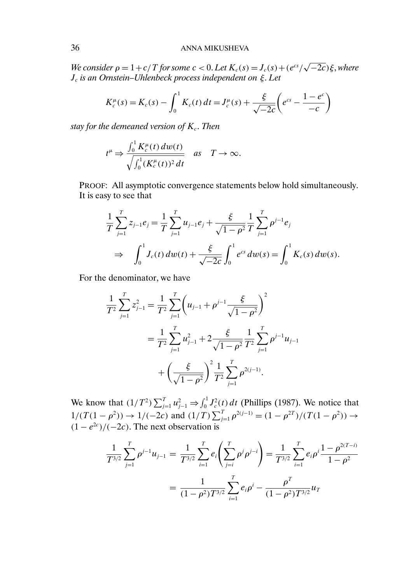*We consider*  $\rho = 1 + c/T$  *for some*  $c < 0$ . Let  $K_c(s) = J_c(s) + (e^{cs}/\sqrt{-2c})\xi$ , where Jc *is an Ornstein–Uhlenbeck process independent on* ξ. *Let*

$$
K_c^{\mu}(s) = K_c(s) - \int_0^1 K_c(t) dt = J_c^{\mu}(s) + \frac{\xi}{\sqrt{-2c}} \left( e^{cs} - \frac{1 - e^c}{-c} \right)
$$

*stay for the demeaned version of*  $K_c$ . *Then* 

$$
t^{\mu} \Rightarrow \frac{\int_0^1 K_c^{\mu}(t) \, dw(t)}{\sqrt{\int_0^1 (K_c^{\mu}(t))^2 \, dt}} \quad \text{as} \quad T \to \infty.
$$

PROOF: All asymptotic convergence statements below hold simultaneously. It is easy to see that

$$
\frac{1}{T} \sum_{j=1}^{T} z_{j-1} e_j = \frac{1}{T} \sum_{j=1}^{T} u_{j-1} e_j + \frac{\xi}{\sqrt{1-\rho^2}} \frac{1}{T} \sum_{j=1}^{T} \rho^{j-1} e_j \n\Rightarrow \int_0^1 J_c(t) \, dw(t) + \frac{\xi}{\sqrt{-2c}} \int_0^1 e^{cs} \, dw(s) = \int_0^1 K_c(s) \, dw(s).
$$

For the denominator, we have

$$
\frac{1}{T^2} \sum_{j=1}^T z_{j-1}^2 = \frac{1}{T^2} \sum_{j=1}^T \left( u_{j-1} + \rho^{j-1} \frac{\xi}{\sqrt{1-\rho^2}} \right)^2
$$
  
= 
$$
\frac{1}{T^2} \sum_{j=1}^T u_{j-1}^2 + 2 \frac{\xi}{\sqrt{1-\rho^2}} \frac{1}{T^2} \sum_{j=1}^T \rho^{j-1} u_{j-1}
$$
  
+ 
$$
\left( \frac{\xi}{\sqrt{1-\rho^2}} \right)^2 \frac{1}{T^2} \sum_{j=1}^T \rho^{2(j-1)}.
$$

We know that  $(1/T^2) \sum_{j=1}^T u_{j-1}^2 \Rightarrow \int_0^1 J_c^2(t) dt$  (Phillips (1987). We notice that  $1/(T(1-\rho^2)) \to 1/(-2c)$  and  $(1/T) \sum_{j=1}^{T} \rho^{2(j-1)} = (1-\rho^{2T})/(T(1-\rho^2)) \to$  $(1 - e^{2c})/(-2c)$ . The next observation is

$$
\frac{1}{T^{3/2}} \sum_{j=1}^{T} \rho^{j-1} u_{j-1} = \frac{1}{T^{3/2}} \sum_{i=1}^{T} e_i \left( \sum_{j=i}^{T} \rho^j \rho^{j-i} \right) = \frac{1}{T^{3/2}} \sum_{i=1}^{T} e_i \rho^i \frac{1 - \rho^{2(T-i)}}{1 - \rho^2}
$$

$$
= \frac{1}{(1 - \rho^2) T^{3/2}} \sum_{i=1}^{T} e_i \rho^i - \frac{\rho^T}{(1 - \rho^2) T^{3/2}} u_T
$$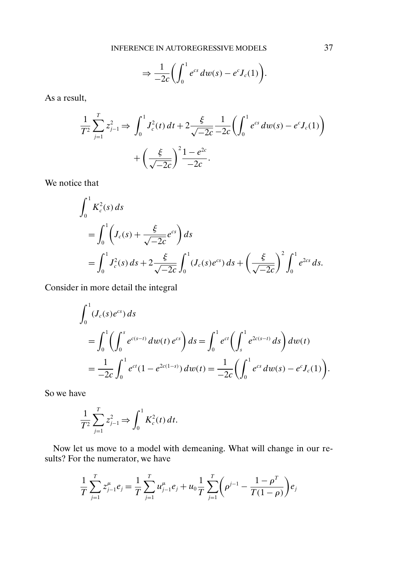$$
\Rightarrow \frac{1}{-2c} \bigg( \int_0^1 e^{cs} dw(s) - e^c J_c(1) \bigg).
$$

As a result,

$$
\frac{1}{T^2} \sum_{j=1}^T z_{j-1}^2 \Rightarrow \int_0^1 J_c^2(t) dt + 2 \frac{\xi}{\sqrt{-2c}} \frac{1}{-2c} \left( \int_0^1 e^{cs} dw(s) - e^c J_c(1) \right) + \left( \frac{\xi}{\sqrt{-2c}} \right)^2 \frac{1 - e^{2c}}{-2c}.
$$

We notice that

$$
\int_0^1 K_c^2(s) ds
$$
  
=  $\int_0^1 \left( J_c(s) + \frac{\xi}{\sqrt{-2c}} e^{cs} \right) ds$   
=  $\int_0^1 J_c^2(s) ds + 2 \frac{\xi}{\sqrt{-2c}} \int_0^1 (J_c(s) e^{cs}) ds + \left( \frac{\xi}{\sqrt{-2c}} \right)^2 \int_0^1 e^{2cs} ds.$ 

Consider in more detail the integral

$$
\int_0^1 (J_c(s)e^{cs}) ds
$$
\n
$$
= \int_0^1 \left( \int_0^s e^{c(s-t)} dw(t) e^{cs} \right) ds = \int_0^1 e^{ct} \left( \int_s^1 e^{2c(s-t)} ds \right) dw(t)
$$
\n
$$
= \frac{1}{-2c} \int_0^1 e^{ct} (1 - e^{2c(1-s)}) dw(t) = \frac{1}{-2c} \left( \int_0^1 e^{cs} dw(s) - e^c J_c(1) \right).
$$

So we have

$$
\frac{1}{T^2} \sum_{j=1}^T z_{j-1}^2 \Rightarrow \int_0^1 K_c^2(t) \, dt.
$$

Now let us move to a model with demeaning. What will change in our results? For the numerator, we have

$$
\frac{1}{T}\sum_{j=1}^{T} z_{j-1}^{\mu} e_j = \frac{1}{T}\sum_{j=1}^{T} u_{j-1}^{\mu} e_j + u_0 \frac{1}{T}\sum_{j=1}^{T} \left(\rho^{j-1} - \frac{1-\rho^{T}}{T(1-\rho)}\right) e_j
$$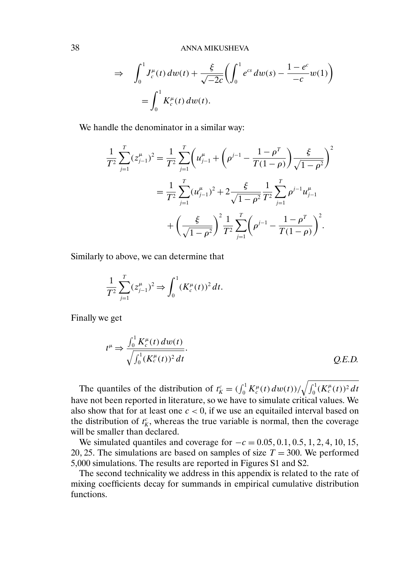38 ANNA MIKUSHEVA

$$
\Rightarrow \int_0^1 J_c^{\mu}(t) \, dw(t) + \frac{\xi}{\sqrt{-2c}} \bigg( \int_0^1 e^{cs} \, dw(s) - \frac{1 - e^c}{-c} w(1) \bigg) \n= \int_0^1 K_c^{\mu}(t) \, dw(t).
$$

We handle the denominator in a similar way:

$$
\frac{1}{T^2} \sum_{j=1}^T (z_{j-1}^{\mu})^2 = \frac{1}{T^2} \sum_{j=1}^T \left( u_{j-1}^{\mu} + \left( \rho^{j-1} - \frac{1 - \rho^T}{T(1-\rho)} \right) \frac{\xi}{\sqrt{1-\rho^2}} \right)^2
$$

$$
= \frac{1}{T^2} \sum_{j=1}^T (u_{j-1}^{\mu})^2 + 2 \frac{\xi}{\sqrt{1-\rho^2}} \frac{1}{T^2} \sum_{j=1}^T \rho^{j-1} u_{j-1}^{\mu}
$$

$$
+ \left( \frac{\xi}{\sqrt{1-\rho^2}} \right)^2 \frac{1}{T^2} \sum_{j=1}^T \left( \rho^{j-1} - \frac{1 - \rho^T}{T(1-\rho)} \right)^2.
$$

Similarly to above, we can determine that

$$
\frac{1}{T^2} \sum_{j=1}^T (z_{j-1}^\mu)^2 \Rightarrow \int_0^1 (K_c^\mu(t))^2 dt.
$$

Finally we get

$$
t^{\mu} \Rightarrow \frac{\int_0^1 K_c^{\mu}(t) \, dw(t)}{\sqrt{\int_0^1 (K_c^{\mu}(t))^2 \, dt}}.
$$
 Q.E.D.

The quantiles of the distribution of  $t_K^c = (\int_0^1 K_c^\mu(t) \, dw(t))/\sqrt{\int_0^1 (K_c^\mu(t))^2 \, dt}$ have not been reported in literature, so we have to simulate critical values. We also show that for at least one  $c < 0$ , if we use an equitailed interval based on the distribution of  $t_K^c$ , whereas the true variable is normal, then the coverage will be smaller than declared.

We simulated quantiles and coverage for  $-c = 0.05, 0.1, 0.5, 1, 2, 4, 10, 15$ , 20, 25. The simulations are based on samples of size  $T = 300$ . We performed 5,000 simulations. The results are reported in Figures S1 and S2.

The second technicality we address in this appendix is related to the rate of mixing coefficients decay for summands in empirical cumulative distribution functions.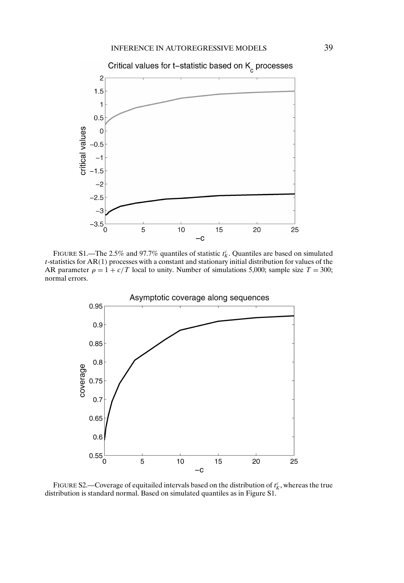

FIGURE S1.—The 2.5% and 97.7% quantiles of statistic  $t_K^c$ . Quantiles are based on simulated t-statistics for AR(1) processes with a constant and stationary initial distribution for values of the AR parameter  $\rho = 1 + c/T$  local to unity. Number of simulations 5,000; sample size  $T = 300$ ; normal errors.



FIGURE S2.—Coverage of equitailed intervals based on the distribution of  $t_K^c$ , whereas the true distribution is standard normal. Based on simulated quantiles as in Figure S1.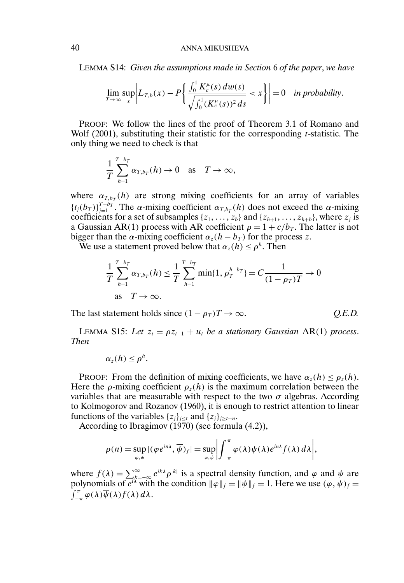LEMMA S14: *Given the assumptions made in Section* 6 *of the paper*, *we have*

$$
\lim_{T\to\infty}\sup_x\bigg|L_{T,b}(x)-P\bigg\{\frac{\int_0^1K_c^{\mu}(s)\,dw(s)}{\sqrt{\int_0^1(K_c^{\mu}(s))^2\,ds}}
$$

PROOF: We follow the lines of the proof of Theorem 3.1 of Romano and Wolf (2001), substituting their statistic for the corresponding *t*-statistic. The only thing we need to check is that

$$
\frac{1}{T}\sum_{h=1}^{T-b_T}\alpha_{T,b_T}(h)\to 0 \quad \text{as} \quad T\to\infty,
$$

where  $\alpha_{T,b_T}(h)$  are strong mixing coefficients for an array of variables  ${t_j(b_T)}_{j=1}^{T-b_T}$ . The  $\alpha$ -mixing coefficient  $\alpha_{T,b_T}(h)$  does not exceed the  $\alpha$ -mixing coefficients for a set of subsamples  $\{z_1, \ldots, z_b\}$  and  $\{z_{h+1}, \ldots, z_{h+b}\}$ , where  $z_j$  is a Gaussian AR(1) process with AR coefficient  $\rho = 1 + c/b_T$ . The latter is not bigger than the  $\alpha$ -mixing coefficient  $\alpha_z(h - b_T)$  for the process z.

We use a statement proved below that  $\alpha_z(h) \leq \rho^h$ . Then

$$
\frac{1}{T} \sum_{h=1}^{T-b_T} \alpha_{T,b_T}(h) \le \frac{1}{T} \sum_{h=1}^{T-b_T} \min\{1, \rho_T^{h-b_T}\} = C \frac{1}{(1-\rho_T)T} \to 0
$$
  
as  $T \to \infty$ .

The last statement holds since  $(1 - \rho_T)T \to \infty$ . *Q.E.D.* 

LEMMA S15: Let  $z_t = \rho z_{t-1} + u_t$  be a stationary Gaussian AR(1) process. *Then*

$$
\alpha_z(h)\leq \rho^h.
$$

PROOF: From the definition of mixing coefficients, we have  $\alpha_z(h) \le \rho_z(h)$ . Here the *ρ*-mixing coefficient  $\rho_z(h)$  is the maximum correlation between the variables that are measurable with respect to the two  $\sigma$  algebras. According to Kolmogorov and Rozanov (1960), it is enough to restrict attention to linear functions of the variables  $\{z_j\}_{j\geq t}$  and  $\{z_j\}_{j\geq t+n}$ .

According to Ibragimov (1970) (see formula (4.2)),

$$
\rho(n) = \sup_{\varphi,\psi} |(\varphi e^{in\lambda}, \overline{\psi})_f| = \sup_{\varphi,\psi} \left| \int_{-\pi}^{\pi} \varphi(\lambda) \psi(\lambda) e^{in\lambda} f(\lambda) d\lambda \right|,
$$

where  $f(\lambda) = \sum_{k=-\infty}^{\infty} e^{ik\lambda} \rho^{|k|}$  is a spectral density function, and  $\varphi$  and  $\psi$  are polynomials of  $e^{i\lambda}$  with the condition  $\|\varphi\|_f = \|\psi\|_f = 1$ . Here we use  $(\varphi, \psi)_f =$  $\int_{-\pi}^{\pi} \varphi(\lambda) \overline{\psi}(\lambda) f(\lambda) d\lambda.$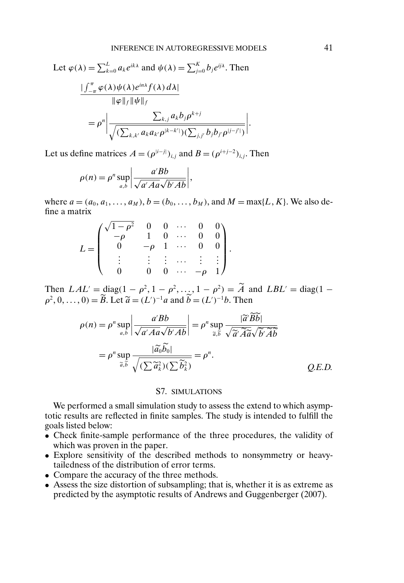Let 
$$
\varphi(\lambda) = \sum_{k=0}^{L} a_k e^{ik\lambda}
$$
 and  $\psi(\lambda) = \sum_{j=0}^{K} b_j e^{ij\lambda}$ . Then  
\n
$$
\frac{\int_{-\pi}^{\pi} \varphi(\lambda) \psi(\lambda) e^{in\lambda} f(\lambda) d\lambda}{\|\varphi\|_f \|\psi\|_f}
$$
\n
$$
= \rho^n \left| \frac{\sum_{k,j} a_k b_j \rho^{k+j}}{\sqrt{(\sum_{k,k'} a_k a_{k'} \rho^{[k-k']})(\sum_{j,j'} b_j b_{j'} \rho^{[j-j']})}} \right|.
$$

Let us define matrices  $A = (\rho^{|i-j|})_{i,j}$  and  $B = (\rho^{i+j-2})_{i,j}$ . Then

$$
\rho(n) = \rho^n \sup_{a,b} \left| \frac{a' B b}{\sqrt{a' A a} \sqrt{b' A b}} \right|,
$$

where  $a = (a_0, a_1, \dots, a_M)$ ,  $b = (b_0, \dots, b_M)$ , and  $M = \max\{L, K\}$ . We also define a matrix

$$
L = \begin{pmatrix} \sqrt{1-\rho^2} & 0 & 0 & \cdots & 0 & 0 \\ -\rho & 1 & 0 & \cdots & 0 & 0 \\ 0 & -\rho & 1 & \cdots & 0 & 0 \\ \vdots & \vdots & \vdots & \cdots & \vdots & \vdots \\ 0 & 0 & 0 & \cdots & -\rho & 1 \end{pmatrix}.
$$

Then  $LAL' = diag(1 - \rho^2, 1 - \rho^2, ..., 1 - \rho^2) = A$  and  $LBL' = diag(1 - \rho^2, ..., 1 - \rho^2)$  $\rho^2, 0, \ldots, 0$  =  $\ddot{B}$ . Let  $\tilde{a} = (L')^{-1}a$  and  $\dot{b} = (L')^{-1}b$ . Then

$$
\rho(n) = \rho^n \sup_{a,b} \left| \frac{a' Bb}{\sqrt{a' Aa} \sqrt{b' Ab}} \right| = \rho^n \sup_{\widetilde{a}, \widetilde{b}} \frac{|\widetilde{a}' \widetilde{B} \widetilde{b}|}{\sqrt{\widetilde{a}' \widetilde{A} \widetilde{a} \sqrt{\widetilde{b}' \widetilde{A} \widetilde{b}}}} = \rho^n \sup_{\widetilde{a}, \widetilde{b}} \frac{|\widetilde{a}_0 \widetilde{b}_0|}{\sqrt{(\sum \widetilde{a}_k^2)(\sum \widetilde{b}_k^2)}} = \rho^n.
$$
\n*Q.E.D.*

# S7. SIMULATIONS

We performed a small simulation study to assess the extend to which asymptotic results are reflected in finite samples. The study is intended to fulfill the goals listed below:

- Check finite-sample performance of the three procedures, the validity of which was proven in the paper.
- Explore sensitivity of the described methods to nonsymmetry or heavytailedness of the distribution of error terms.
- Compare the accuracy of the three methods.
- Assess the size distortion of subsampling; that is, whether it is as extreme as predicted by the asymptotic results of Andrews and Guggenberger (2007).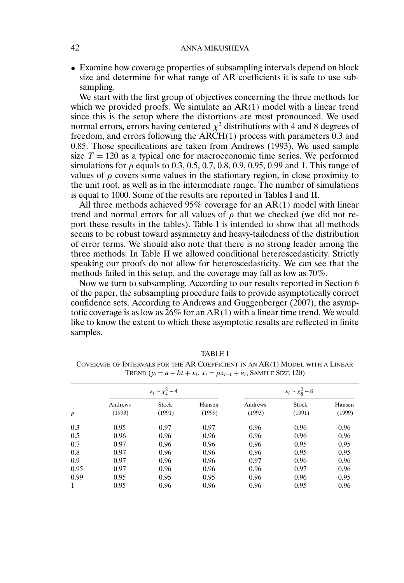## 42 ANNA MIKUSHEVA

• Examine how coverage properties of subsampling intervals depend on block size and determine for what range of AR coefficients it is safe to use subsampling.

We start with the first group of objectives concerning the three methods for which we provided proofs. We simulate an AR(1) model with a linear trend since this is the setup where the distortions are most pronounced. We used normal errors, errors having centered  $\chi^2$  distributions with 4 and 8 degrees of freedom, and errors following the ARCH(1) process with parameters 0.3 and 0.85. Those specifications are taken from Andrews (1993). We used sample size  $T = 120$  as a typical one for macroeconomic time series. We performed simulations for  $\rho$  equals to 0.3, 0.5, 0.7, 0.8, 0.9, 0.95, 0.99 and 1. This range of values of  $\rho$  covers some values in the stationary region, in close proximity to the unit root, as well as in the intermediate range. The number of simulations is equal to 1000. Some of the results are reported in Tables I and II.

All three methods achieved  $95\%$  coverage for an AR(1) model with linear trend and normal errors for all values of  $\rho$  that we checked (we did not report these results in the tables). Table I is intended to show that all methods seems to be robust toward asymmetry and heavy-tailedness of the distribution of error terms. We should also note that there is no strong leader among the three methods. In Table II we allowed conditional heteroscedasticity. Strictly speaking our proofs do not allow for heteroscedasticity. We can see that the methods failed in this setup, and the coverage may fall as low as 70%.

Now we turn to subsampling. According to our results reported in Section 6 of the paper, the subsampling procedure fails to provide asymptotically correct confidence sets. According to Andrews and Guggenberger (2007), the asymptotic coverage is as low as  $26\%$  for an AR(1) with a linear time trend. We would like to know the extent to which these asymptotic results are reflected in finite samples.

| $\rho$ | $\varepsilon_i \sim \chi_4^2 - 4$ |                        |                  | $\varepsilon_i \sim \chi^2_8 - 8$ |                 |                  |
|--------|-----------------------------------|------------------------|------------------|-----------------------------------|-----------------|------------------|
|        | Andrews<br>(1993)                 | <b>Stock</b><br>(1991) | Hansen<br>(1999) | Andrews<br>(1993)                 | Stock<br>(1991) | Hansen<br>(1999) |
| 0.3    | 0.95                              | 0.97                   | 0.97             | 0.96                              | 0.96            | 0.96             |
| 0.5    | 0.96                              | 0.96                   | 0.96             | 0.96                              | 0.96            | 0.96             |
| 0.7    | 0.97                              | 0.96                   | 0.96             | 0.96                              | 0.95            | 0.95             |
| 0.8    | 0.97                              | 0.96                   | 0.96             | 0.96                              | 0.95            | 0.95             |
| 0.9    | 0.97                              | 0.96                   | 0.96             | 0.97                              | 0.96            | 0.96             |
| 0.95   | 0.97                              | 0.96                   | 0.96             | 0.96                              | 0.97            | 0.96             |
| 0.99   | 0.95                              | 0.95                   | 0.95             | 0.96                              | 0.96            | 0.95             |
| 1      | 0.95                              | 0.96                   | 0.96             | 0.96                              | 0.95            | 0.96             |

TABLE I

COVERAGE OF INTERVALS FOR THE AR COEFFICIENT IN AN AR(1) MODEL WITH A LINEAR TREND  $(y_t = a + bt + x_t, x_t = \rho x_{t-1} + \varepsilon_t$ ; SAMPLE SIZE 120)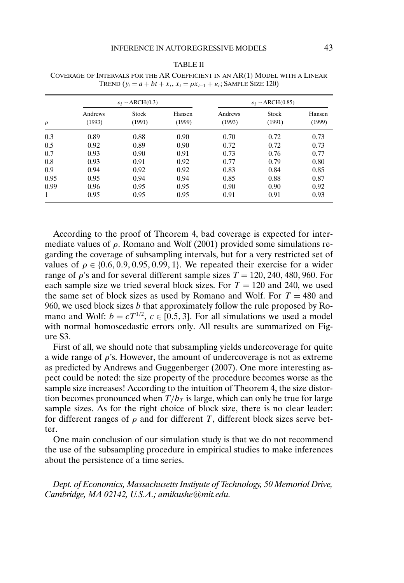#### TABLE II

| $\rho$ | $\varepsilon_i \sim \text{ARCH}(0.3)$ |                        |                  | $\varepsilon_i \sim \text{ARCH}(0.85)$ |                 |                  |  |
|--------|---------------------------------------|------------------------|------------------|----------------------------------------|-----------------|------------------|--|
|        | Andrews<br>(1993)                     | <b>Stock</b><br>(1991) | Hansen<br>(1999) | Andrews<br>(1993)                      | Stock<br>(1991) | Hansen<br>(1999) |  |
| 0.3    | 0.89                                  | 0.88                   | 0.90             | 0.70                                   | 0.72            | 0.73             |  |
| 0.5    | 0.92                                  | 0.89                   | 0.90             | 0.72                                   | 0.72            | 0.73             |  |
| 0.7    | 0.93                                  | 0.90                   | 0.91             | 0.73                                   | 0.76            | 0.77             |  |
| 0.8    | 0.93                                  | 0.91                   | 0.92             | 0.77                                   | 0.79            | 0.80             |  |
| 0.9    | 0.94                                  | 0.92                   | 0.92             | 0.83                                   | 0.84            | 0.85             |  |
| 0.95   | 0.95                                  | 0.94                   | 0.94             | 0.85                                   | 0.88            | 0.87             |  |
| 0.99   | 0.96                                  | 0.95                   | 0.95             | 0.90                                   | 0.90            | 0.92             |  |
| 1      | 0.95                                  | 0.95                   | 0.95             | 0.91                                   | 0.91            | 0.93             |  |

COVERAGE OF INTERVALS FOR THE AR COEFFICIENT IN AN AR(1) MODEL WITH A LINEAR TREND  $(y_t = a + bt + x_t, x_t = \rho x_{t-1} + \varepsilon_t$ ; SAMPLE SIZE 120)

According to the proof of Theorem 4, bad coverage is expected for intermediate values of  $\rho$ . Romano and Wolf (2001) provided some simulations regarding the coverage of subsampling intervals, but for a very restricted set of values of  $\rho \in \{0.6, 0.9, 0.95, 0.99, 1\}$ . We repeated their exercise for a wider range of  $\rho$ 's and for several different sample sizes  $T = 120, 240, 480, 960$ . For each sample size we tried several block sizes. For  $T = 120$  and 240, we used the same set of block sizes as used by Romano and Wolf. For  $T = 480$  and 960, we used block sizes b that approximately follow the rule proposed by Romano and Wolf:  $b = cT^{1/2}$ ,  $c \in [0.5, 3]$ . For all simulations we used a model with normal homoscedastic errors only. All results are summarized on Figure S3.

First of all, we should note that subsampling yields undercoverage for quite a wide range of  $\rho$ 's. However, the amount of undercoverage is not as extreme as predicted by Andrews and Guggenberger (2007). One more interesting aspect could be noted: the size property of the procedure becomes worse as the sample size increases! According to the intuition of Theorem 4, the size distortion becomes pronounced when  $T/b_T$  is large, which can only be true for large sample sizes. As for the right choice of block size, there is no clear leader: for different ranges of  $\rho$  and for different T, different block sizes serve better.

One main conclusion of our simulation study is that we do not recommend the use of the subsampling procedure in empirical studies to make inferences about the persistence of a time series.

*Dept. of Economics, Massachusetts Instiyute of Technology, 50 Memoriol Drive, Cambridge, MA 02142, U.S.A.; amikushe@mit.edu.*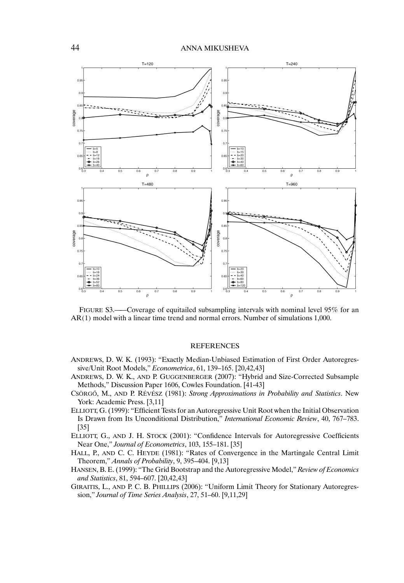

FIGURE S3.——Coverage of equitailed subsampling intervals with nominal level 95% for an AR(1) model with a linear time trend and normal errors. Number of simulations 1,000.

#### REFERENCES

- ANDREWS, D. W. K. (1993): "Exactly Median-Unbiased Estimation of First Order Autoregressive/Unit Root Models," *Econometrica*, 61, 139–165. [20,42,43]
- ANDREWS, D. W. K., AND P. GUGGENBERGER (2007): "Hybrid and Size-Corrected Subsample Methods," Discussion Paper 1606, Cowles Foundation. [41-43]
- CSÖRGO˝ , M., AND P. RÉVÉSZ (1981): *Strong Approximations in Probability and Statistics*. New York: Academic Press. [3,11]
- ELLIOTT, G. (1999): "Efficient Tests for an Autoregressive Unit Root when the Initial Observation Is Drawn from Its Unconditional Distribution," *International Economic Review*, 40, 767–783. [35]
- ELLIOTT, G., AND J. H. STOCK (2001): "Confidence Intervals for Autoregressive Coefficients Near One," *Journal of Econometrics*, 103, 155–181. [35]
- HALL, P., AND C. C. HEYDE (1981): "Rates of Convergence in the Martingale Central Limit Theorem," *Annals of Probability*, 9, 395–404. [9,13]
- HANSEN, B. E. (1999): "The Grid Bootstrap and the Autoregressive Model," *Review of Economics and Statistics*, 81, 594–607. [20,42,43]
- GIRAITIS, L., AND P. C. B. PHILLIPS (2006): "Uniform Limit Theory for Stationary Autoregression," *Journal of Time Series Analysis*, 27, 51–60. [9,11,29]